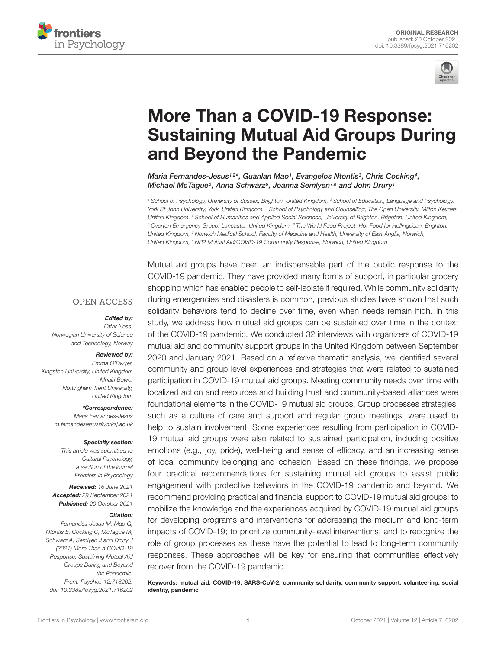



# More Than a COVID-19 Response: [Sustaining Mutual Aid Groups During](https://www.frontiersin.org/articles/10.3389/fpsyg.2021.716202/full) and Beyond the Pandemic

Maria Fernandes-Jesus1,2\*, Guanlan Mao1, Evangelos Ntontis3, Chris Cocking4, Michael McTague<sup>5</sup>, Anna Schwarz<sup>6</sup>, Joanna Semlyen<sup>7,8</sup> and John Drury1

<sup>1</sup> School of Psychology, University of Sussex, Brighton, United Kingdom, <sup>2</sup> School of Education, Language and Psychology, York St John University, York, United Kingdom, <sup>3</sup> School of Psychology and Counselling, The Open University, Milton Keynes, United Kingdom, <sup>4</sup> School of Humanities and Applied Social Sciences, University of Brighton, Brighton, United Kingdom, <sup>5</sup> Overton Emergency Group, Lancaster, United Kingdom, <sup>6</sup> The World Food Project, Hot Food for Hollingdean, Brighton, United Kingdom, <sup>7</sup> Norwich Medical School, Faculty of Medicine and Health, University of East Anglia, Norwich, United Kingdom, <sup>8</sup> NR2 Mutual Aid/COVID-19 Community Response, Norwich, United Kingdom

#### **OPEN ACCESS**

#### Edited by:

Ottar Ness, Norwegian University of Science and Technology, Norway

#### Reviewed by:

Emma O'Dwyer, Kingston University, United Kingdom Mhairi Bowe, Nottingham Trent University, United Kingdom

> \*Correspondence: Maria Fernandes-Jesus m.fernandesjesus@yorksj.ac.uk

#### Specialty section:

This article was submitted to Cultural Psychology, a section of the journal Frontiers in Psychology

Received: 16 June 2021 Accepted: 29 September 2021 Published: 20 October 2021

#### Citation:

Fernandes-Jesus M, Mao G, Ntontis E, Cocking C, McTague M, Schwarz A, Semlyen J and Drury J (2021) More Than a COVID-19 Response: Sustaining Mutual Aid Groups During and Beyond the Pandemic. Front. Psychol. 12:716202. doi: [10.3389/fpsyg.2021.716202](https://doi.org/10.3389/fpsyg.2021.716202) Mutual aid groups have been an indispensable part of the public response to the COVID-19 pandemic. They have provided many forms of support, in particular grocery shopping which has enabled people to self-isolate if required. While community solidarity during emergencies and disasters is common, previous studies have shown that such solidarity behaviors tend to decline over time, even when needs remain high. In this study, we address how mutual aid groups can be sustained over time in the context of the COVID-19 pandemic. We conducted 32 interviews with organizers of COVID-19 mutual aid and community support groups in the United Kingdom between September 2020 and January 2021. Based on a reflexive thematic analysis, we identified several community and group level experiences and strategies that were related to sustained participation in COVID-19 mutual aid groups. Meeting community needs over time with localized action and resources and building trust and community-based alliances were foundational elements in the COVID-19 mutual aid groups. Group processes strategies, such as a culture of care and support and regular group meetings, were used to help to sustain involvement. Some experiences resulting from participation in COVID-19 mutual aid groups were also related to sustained participation, including positive emotions (e.g., joy, pride), well-being and sense of efficacy, and an increasing sense of local community belonging and cohesion. Based on these findings, we propose four practical recommendations for sustaining mutual aid groups to assist public engagement with protective behaviors in the COVID-19 pandemic and beyond. We recommend providing practical and financial support to COVID-19 mutual aid groups; to mobilize the knowledge and the experiences acquired by COVID-19 mutual aid groups for developing programs and interventions for addressing the medium and long-term impacts of COVID-19; to prioritize community-level interventions; and to recognize the role of group processes as these have the potential to lead to long-term community responses. These approaches will be key for ensuring that communities effectively recover from the COVID-19 pandemic.

Keywords: mutual aid, COVID-19, SARS-CoV-2, community solidarity, community support, volunteering, social identity, pandemic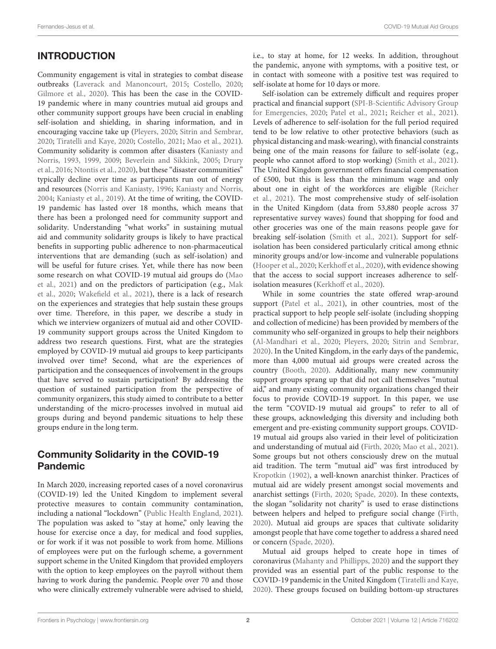# **INTRODUCTION**

Community engagement is vital in strategies to combat disease outbreaks [\(Laverack and Manoncourt,](#page-15-0) [2015;](#page-15-0) [Costello,](#page-14-0) [2020;](#page-14-0) [Gilmore et al.,](#page-14-1) [2020\)](#page-14-1). This has been the case in the COVID-19 pandemic where in many countries mutual aid groups and other community support groups have been crucial in enabling self-isolation and shielding, in sharing information, and in encouraging vaccine take up [\(Pleyers,](#page-15-1) [2020;](#page-15-1) [Sitrin and Sembrar,](#page-15-2) [2020;](#page-15-2) [Tiratelli and Kaye,](#page-16-0) [2020;](#page-16-0) [Costello,](#page-14-2) [2021;](#page-14-2) [Mao et al.,](#page-15-3) [2021\)](#page-15-3). Community solidarity is common after disasters [\(Kaniasty and](#page-15-4) [Norris,](#page-15-4) [1993,](#page-15-4) [1999,](#page-15-5) [2009;](#page-15-6) [Beverlein and Sikkink,](#page-14-3) [2005;](#page-14-3) [Drury](#page-14-4) [et al.,](#page-14-4) [2016;](#page-14-4) [Ntontis et al.,](#page-15-7) [2020\)](#page-15-7), but these "disaster communities" typically decline over time as participants run out of energy and resources [\(Norris and Kaniasty,](#page-15-8) [1996;](#page-15-8) [Kaniasty and Norris,](#page-15-9) [2004;](#page-15-9) [Kaniasty et al.,](#page-15-10) [2019\)](#page-15-10). At the time of writing, the COVID-19 pandemic has lasted over 18 months, which means that there has been a prolonged need for community support and solidarity. Understanding "what works" in sustaining mutual aid and community solidarity groups is likely to have practical benefits in supporting public adherence to non-pharmaceutical interventions that are demanding (such as self-isolation) and will be useful for future crises. Yet, while there has now been some research on what COVID-19 mutual aid groups do [\(Mao](#page-15-3) [et al.,](#page-15-3) [2021\)](#page-15-3) and on the predictors of participation (e.g., [Mak](#page-15-11) [et al.,](#page-15-11) [2020;](#page-15-11) [Wakefield et al.,](#page-16-1) [2021\)](#page-16-1), there is a lack of research on the experiences and strategies that help sustain these groups over time. Therefore, in this paper, we describe a study in which we interview organizers of mutual aid and other COVID-19 community support groups across the United Kingdom to address two research questions. First, what are the strategies employed by COVID-19 mutual aid groups to keep participants involved over time? Second, what are the experiences of participation and the consequences of involvement in the groups that have served to sustain participation? By addressing the question of sustained participation from the perspective of community organizers, this study aimed to contribute to a better understanding of the micro-processes involved in mutual aid groups during and beyond pandemic situations to help these groups endure in the long term.

### Community Solidarity in the COVID-19 Pandemic

In March 2020, increasing reported cases of a novel coronavirus (COVID-19) led the United Kingdom to implement several protective measures to contain community contamination, including a national "lockdown" [\(Public Health England,](#page-15-12) [2021\)](#page-15-12). The population was asked to "stay at home," only leaving the house for exercise once a day, for medical and food supplies, or for work if it was not possible to work from home. Millions of employees were put on the furlough scheme, a government support scheme in the United Kingdom that provided employers with the option to keep employees on the payroll without them having to work during the pandemic. People over 70 and those who were clinically extremely vulnerable were advised to shield, i.e., to stay at home, for 12 weeks. In addition, throughout the pandemic, anyone with symptoms, with a positive test, or in contact with someone with a positive test was required to self-isolate at home for 10 days or more.

Self-isolation can be extremely difficult and requires proper practical and financial support [\(SPI-B-Scientific Advisory Group](#page-15-13) [for Emergencies,](#page-15-13) [2020;](#page-15-13) [Patel et al.,](#page-15-14) [2021;](#page-15-14) [Reicher et al.,](#page-15-15) [2021\)](#page-15-15). Levels of adherence to self-isolation for the full period required tend to be low relative to other protective behaviors (such as physical distancing and mask-wearing), with financial constraints being one of the main reasons for failure to self-isolate (e.g., people who cannot afford to stop working) [\(Smith et al.,](#page-15-16) [2021\)](#page-15-16). The United Kingdom government offers financial compensation of £500, but this is less than the minimum wage and only about one in eight of the workforces are eligible [\(Reicher](#page-15-15) [et al.,](#page-15-15) [2021\)](#page-15-15). The most comprehensive study of self-isolation in the United Kingdom (data from 53,880 people across 37 representative survey waves) found that shopping for food and other groceries was one of the main reasons people gave for breaking self-isolation [\(Smith et al.,](#page-15-16) [2021\)](#page-15-16). Support for selfisolation has been considered particularly critical among ethnic minority groups and/or low-income and vulnerable populations [\(Hooper et al.,](#page-15-17) [2020;](#page-15-17) [Kerkhoff et al.,](#page-15-18) [2020\)](#page-15-18), with evidence showing that the access to social support increases adherence to selfisolation measures [\(Kerkhoff et al.,](#page-15-18) [2020\)](#page-15-18).

While in some countries the state offered wrap-around support [\(Patel et al.,](#page-15-14) [2021\)](#page-15-14), in other countries, most of the practical support to help people self-isolate (including shopping and collection of medicine) has been provided by members of the community who self-organized in groups to help their neighbors [\(Al-Mandhari et al.,](#page-14-5) [2020;](#page-14-5) [Pleyers,](#page-15-1) [2020;](#page-15-1) [Sitrin and Sembrar,](#page-15-2) [2020\)](#page-15-2). In the United Kingdom, in the early days of the pandemic, more than 4,000 mutual aid groups were created across the country [\(Booth,](#page-14-6) [2020\)](#page-14-6). Additionally, many new community support groups sprang up that did not call themselves "mutual aid," and many existing community organizations changed their focus to provide COVID-19 support. In this paper, we use the term "COVID-19 mutual aid groups" to refer to all of these groups, acknowledging this diversity and including both emergent and pre-existing community support groups. COVID-19 mutual aid groups also varied in their level of politicization and understanding of mutual aid [\(Firth,](#page-14-7) [2020;](#page-14-7) [Mao et al.,](#page-15-3) [2021\)](#page-15-3). Some groups but not others consciously drew on the mutual aid tradition. The term "mutual aid" was first introduced by [Kropotkin](#page-15-19) [\(1902\)](#page-15-19), a well-known anarchist thinker. Practices of mutual aid are widely present amongst social movements and anarchist settings [\(Firth,](#page-14-7) [2020;](#page-14-7) [Spade,](#page-15-20) [2020\)](#page-15-20). In these contexts, the slogan "solidarity not charity" is used to erase distinctions between helpers and helped to prefigure social change [\(Firth,](#page-14-7) [2020\)](#page-14-7). Mutual aid groups are spaces that cultivate solidarity amongst people that have come together to address a shared need or concern [\(Spade,](#page-15-20) [2020\)](#page-15-20).

Mutual aid groups helped to create hope in times of coronavirus [\(Mahanty and Phillipps,](#page-15-21) [2020\)](#page-15-21) and the support they provided was an essential part of the public response to the COVID-19 pandemic in the United Kingdom [\(Tiratelli and Kaye,](#page-16-0) [2020\)](#page-16-0). These groups focused on building bottom-up structures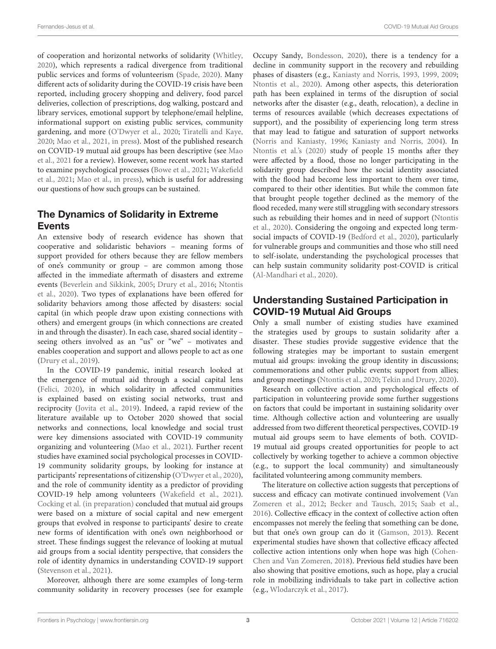of cooperation and horizontal networks of solidarity [\(Whitley,](#page-16-2) [2020\)](#page-16-2), which represents a radical divergence from traditional public services and forms of volunteerism [\(Spade,](#page-15-20) [2020\)](#page-15-20). Many different acts of solidarity during the COVID-19 crisis have been reported, including grocery shopping and delivery, food parcel deliveries, collection of prescriptions, dog walking, postcard and library services, emotional support by telephone/email helpline, informational support on existing public services, community gardening, and more [\(O'Dwyer et al.,](#page-15-22) [2020;](#page-15-22) [Tiratelli and Kaye,](#page-16-0) [2020;](#page-16-0) [Mao et al.,](#page-15-3) [2021,](#page-15-3) [in press\)](#page-15-23). Most of the published research on COVID-19 mutual aid groups has been descriptive (see [Mao](#page-15-3) [et al.,](#page-15-3) [2021](#page-15-3) for a review). However, some recent work has started to examine psychological processes [\(Bowe et al.,](#page-14-8) [2021;](#page-14-8) [Wakefield](#page-16-1) [et al.,](#page-16-1) [2021;](#page-16-1) [Mao et al.,](#page-15-23) [in press\)](#page-15-23), which is useful for addressing our questions of how such groups can be sustained.

# The Dynamics of Solidarity in Extreme Events

An extensive body of research evidence has shown that cooperative and solidaristic behaviors – meaning forms of support provided for others because they are fellow members of one's community or group – are common among those affected in the immediate aftermath of disasters and extreme events [\(Beverlein and Sikkink,](#page-14-3) [2005;](#page-14-3) [Drury et al.,](#page-14-4) [2016;](#page-14-4) [Ntontis](#page-15-7) [et al.,](#page-15-7) [2020\)](#page-15-7). Two types of explanations have been offered for solidarity behaviors among those affected by disasters: social capital (in which people draw upon existing connections with others) and emergent groups (in which connections are created in and through the disaster). In each case, shared social identity – seeing others involved as an "us" or "we" – motivates and enables cooperation and support and allows people to act as one [\(Drury et al.,](#page-14-9) [2019\)](#page-14-9).

In the COVID-19 pandemic, initial research looked at the emergence of mutual aid through a social capital lens [\(Felici,](#page-14-10) [2020\)](#page-14-10), in which solidarity in affected communities is explained based on existing social networks, trust and reciprocity [\(Jovita et al.,](#page-15-24) [2019\)](#page-15-24). Indeed, a rapid review of the literature available up to October 2020 showed that social networks and connections, local knowledge and social trust were key dimensions associated with COVID-19 community organizing and volunteering [\(Mao et al.,](#page-15-3) [2021\)](#page-15-3). Further recent studies have examined social psychological processes in COVID-19 community solidarity groups, by looking for instance at participants' representations of citizenship [\(O'Dwyer et al.,](#page-15-22) [2020\)](#page-15-22), and the role of community identity as a predictor of providing COVID-19 help among volunteers [\(Wakefield et al.,](#page-16-1) [2021\)](#page-16-1). [Cocking et al.](#page-14-11) [\(in preparation\)](#page-14-11) concluded that mutual aid groups were based on a mixture of social capital and new emergent groups that evolved in response to participants' desire to create new forms of identification with one's own neighborhood or street. These findings suggest the relevance of looking at mutual aid groups from a social identity perspective, that considers the role of identity dynamics in understanding COVID-19 support [\(Stevenson et al.,](#page-15-25) [2021\)](#page-15-25).

Moreover, although there are some examples of long-term community solidarity in recovery processes (see for example Occupy Sandy, [Bondesson,](#page-14-12) [2020\)](#page-14-12), there is a tendency for a decline in community support in the recovery and rebuilding phases of disasters (e.g., [Kaniasty and Norris,](#page-15-4) [1993,](#page-15-4) [1999,](#page-15-5) [2009;](#page-15-6) [Ntontis et al.,](#page-15-7) [2020\)](#page-15-7). Among other aspects, this deterioration path has been explained in terms of the disruption of social networks after the disaster (e.g., death, relocation), a decline in terms of resources available (which decreases expectations of support), and the possibility of experiencing long term stress that may lead to fatigue and saturation of support networks [\(Norris and Kaniasty,](#page-15-8) [1996;](#page-15-8) [Kaniasty and Norris,](#page-15-9) [2004\)](#page-15-9). In [Ntontis et al.'s](#page-15-7) [\(2020\)](#page-15-7) study of people 15 months after they were affected by a flood, those no longer participating in the solidarity group described how the social identity associated with the flood had become less important to them over time, compared to their other identities. But while the common fate that brought people together declined as the memory of the flood receded, many were still struggling with secondary stressors such as rebuilding their homes and in need of support [\(Ntontis](#page-15-7) [et al.,](#page-15-7) [2020\)](#page-15-7). Considering the ongoing and expected long termsocial impacts of COVID-19 [\(Bedford et al.,](#page-14-13) [2020\)](#page-14-13), particularly for vulnerable groups and communities and those who still need to self-isolate, understanding the psychological processes that can help sustain community solidarity post-COVID is critical [\(Al-Mandhari et al.,](#page-14-5) [2020\)](#page-14-5).

### Understanding Sustained Participation in COVID-19 Mutual Aid Groups

Only a small number of existing studies have examined the strategies used by groups to sustain solidarity after a disaster. These studies provide suggestive evidence that the following strategies may be important to sustain emergent mutual aid groups: invoking the group identity in discussions; commemorations and other public events; support from allies; and group meetings [\(Ntontis et al.,](#page-15-7) [2020;](#page-15-7) [Tekin and Drury,](#page-15-26) [2020\)](#page-15-26).

Research on collective action and psychological effects of participation in volunteering provide some further suggestions on factors that could be important in sustaining solidarity over time. Although collective action and volunteering are usually addressed from two different theoretical perspectives, COVID-19 mutual aid groups seem to have elements of both. COVID-19 mutual aid groups created opportunities for people to act collectively by working together to achieve a common objective (e.g., to support the local community) and simultaneously facilitated volunteering among community members.

The literature on collective action suggests that perceptions of success and efficacy can motivate continued involvement [\(Van](#page-16-3) [Zomeren et al.,](#page-16-3) [2012;](#page-16-3) [Becker and Tausch,](#page-14-14) [2015;](#page-14-14) [Saab et al.,](#page-15-27) [2016\)](#page-15-27). Collective efficacy in the context of collective action often encompasses not merely the feeling that something can be done, but that one's own group can do it [\(Gamson,](#page-14-15) [2013\)](#page-14-15). Recent experimental studies have shown that collective efficacy affected collective action intentions only when hope was high [\(Cohen-](#page-14-16)[Chen and Van Zomeren,](#page-14-16) [2018\)](#page-14-16). Previous field studies have been also showing that positive emotions, such as hope, play a crucial role in mobilizing individuals to take part in collective action (e.g., [Wlodarczyk et al.,](#page-16-4) [2017\)](#page-16-4).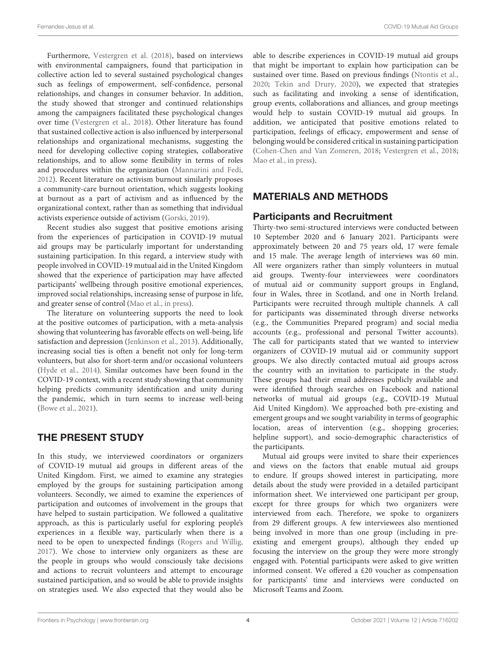Furthermore, [Vestergren et al.](#page-16-5) [\(2018\)](#page-16-5), based on interviews with environmental campaigners, found that participation in collective action led to several sustained psychological changes such as feelings of empowerment, self-confidence, personal relationships, and changes in consumer behavior. In addition, the study showed that stronger and continued relationships among the campaigners facilitated these psychological changes over time [\(Vestergren et al.,](#page-16-5) [2018\)](#page-16-5). Other literature has found that sustained collective action is also influenced by interpersonal relationships and organizational mechanisms, suggesting the need for developing collective coping strategies, collaborative relationships, and to allow some flexibility in terms of roles and procedures within the organization [\(Mannarini and Fedi,](#page-15-28) [2012\)](#page-15-28). Recent literature on activism burnout similarly proposes a community-care burnout orientation, which suggests looking at burnout as a part of activism and as influenced by the organizational context, rather than as something that individual activists experience outside of activism [\(Gorski,](#page-15-29) [2019\)](#page-15-29).

Recent studies also suggest that positive emotions arising from the experiences of participation in COVID-19 mutual aid groups may be particularly important for understanding sustaining participation. In this regard, a interview study with people involved in COVID-19 mutual aid in the United Kingdom showed that the experience of participation may have affected participants' wellbeing through positive emotional experiences, improved social relationships, increasing sense of purpose in life, and greater sense of control [\(Mao et al.,](#page-15-23) [in press\)](#page-15-23).

The literature on volunteering supports the need to look at the positive outcomes of participation, with a meta-analysis showing that volunteering has favorable effects on well-being, life satisfaction and depression [\(Jenkinson et al.,](#page-15-30) [2013\)](#page-15-30). Additionally, increasing social ties is often a benefit not only for long-term volunteers, but also for short-term and/or occasional volunteers [\(Hyde et al.,](#page-15-31) [2014\)](#page-15-31). Similar outcomes have been found in the COVID-19 context, with a recent study showing that community helping predicts community identification and unity during the pandemic, which in turn seems to increase well-being [\(Bowe et al.,](#page-14-8) [2021\)](#page-14-8).

### THE PRESENT STUDY

In this study, we interviewed coordinators or organizers of COVID-19 mutual aid groups in different areas of the United Kingdom. First, we aimed to examine any strategies employed by the groups for sustaining participation among volunteers. Secondly, we aimed to examine the experiences of participation and outcomes of involvement in the groups that have helped to sustain participation. We followed a qualitative approach, as this is particularly useful for exploring people's experiences in a flexible way, particularly when there is a need to be open to unexpected findings [\(Rogers and Willig,](#page-15-32) [2017\)](#page-15-32). We chose to interview only organizers as these are the people in groups who would consciously take decisions and actions to recruit volunteers and attempt to encourage sustained participation, and so would be able to provide insights on strategies used. We also expected that they would also be

able to describe experiences in COVID-19 mutual aid groups that might be important to explain how participation can be sustained over time. Based on previous findings [\(Ntontis et al.,](#page-15-7) [2020;](#page-15-7) [Tekin and Drury,](#page-15-26) [2020\)](#page-15-26), we expected that strategies such as facilitating and invoking a sense of identification, group events, collaborations and alliances, and group meetings would help to sustain COVID-19 mutual aid groups. In addition, we anticipated that positive emotions related to participation, feelings of efficacy, empowerment and sense of belonging would be considered critical in sustaining participation [\(Cohen-Chen and Van Zomeren,](#page-14-16) [2018;](#page-14-16) [Vestergren et al.,](#page-16-5) [2018;](#page-16-5) [Mao et al.,](#page-15-23) [in press\)](#page-15-23).

### MATERIALS AND METHODS

#### Participants and Recruitment

Thirty-two semi-structured interviews were conducted between 10 September 2020 and 6 January 2021. Participants were approximately between 20 and 75 years old, 17 were female and 15 male. The average length of interviews was 60 min. All were organizers rather than simply volunteers in mutual aid groups. Twenty-four interviewees were coordinators of mutual aid or community support groups in England, four in Wales, three in Scotland, and one in North Ireland. Participants were recruited through multiple channels. A call for participants was disseminated through diverse networks (e.g., the Communities Prepared program) and social media accounts (e.g., professional and personal Twitter accounts). The call for participants stated that we wanted to interview organizers of COVID-19 mutual aid or community support groups. We also directly contacted mutual aid groups across the country with an invitation to participate in the study. These groups had their email addresses publicly available and were identified through searches on Facebook and national networks of mutual aid groups (e.g., COVID-19 Mutual Aid United Kingdom). We approached both pre-existing and emergent groups and we sought variability in terms of geographic location, areas of intervention (e.g., shopping groceries; helpline support), and socio-demographic characteristics of the participants.

Mutual aid groups were invited to share their experiences and views on the factors that enable mutual aid groups to endure. If groups showed interest in participating, more details about the study were provided in a detailed participant information sheet. We interviewed one participant per group, except for three groups for which two organizers were interviewed from each. Therefore, we spoke to organizers from 29 different groups. A few interviewees also mentioned being involved in more than one group (including in preexisting and emergent groups), although they ended up focusing the interview on the group they were more strongly engaged with. Potential participants were asked to give written informed consent. We offered a £20 voucher as compensation for participants' time and interviews were conducted on Microsoft Teams and Zoom.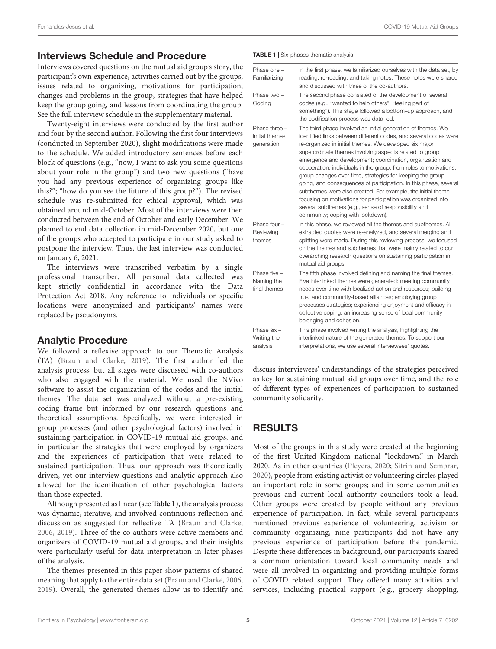#### Interviews Schedule and Procedure

Interviews covered questions on the mutual aid group's story, the participant's own experience, activities carried out by the groups, issues related to organizing, motivations for participation, changes and problems in the group, strategies that have helped keep the group going, and lessons from coordinating the group. See the full interview schedule in the supplementary material.

Twenty-eight interviews were conducted by the first author and four by the second author. Following the first four interviews (conducted in September 2020), slight modifications were made to the schedule. We added introductory sentences before each block of questions (e.g., "now, I want to ask you some questions about your role in the group") and two new questions ("have you had any previous experience of organizing groups like this?"; "how do you see the future of this group?"). The revised schedule was re-submitted for ethical approval, which was obtained around mid-October. Most of the interviews were then conducted between the end of October and early December. We planned to end data collection in mid-December 2020, but one of the groups who accepted to participate in our study asked to postpone the interview. Thus, the last interview was conducted on January 6, 2021.

The interviews were transcribed verbatim by a single professional transcriber. All personal data collected was kept strictly confidential in accordance with the Data Protection Act 2018. Any reference to individuals or specific locations were anonymized and participants' names were replaced by pseudonyms.

#### Analytic Procedure

We followed a reflexive approach to our Thematic Analysis (TA) [\(Braun and Clarke,](#page-14-17) [2019\)](#page-14-17). The first author led the analysis process, but all stages were discussed with co-authors who also engaged with the material. We used the NVivo software to assist the organization of the codes and the initial themes. The data set was analyzed without a pre-existing coding frame but informed by our research questions and theoretical assumptions. Specifically, we were interested in group processes (and other psychological factors) involved in sustaining participation in COVID-19 mutual aid groups, and in particular the strategies that were employed by organizers and the experiences of participation that were related to sustained participation. Thus, our approach was theoretically driven, yet our interview questions and analytic approach also allowed for the identification of other psychological factors than those expected.

Although presented as linear (see **[Table 1](#page-4-0)**), the analysis process was dynamic, iterative, and involved continuous reflection and discussion as suggested for reflective TA [\(Braun and Clarke,](#page-14-18) [2006,](#page-14-18) [2019\)](#page-14-17). Three of the co-authors were active members and organizers of COVID-19 mutual aid groups, and their insights were particularly useful for data interpretation in later phases of the analysis.

The themes presented in this paper show patterns of shared meaning that apply to the entire data set [\(Braun and Clarke,](#page-14-18) [2006,](#page-14-18) [2019\)](#page-14-17). Overall, the generated themes allow us to identify and <span id="page-4-0"></span>TABLE 1 | Six-phases thematic analysis.

| Phase one -<br>Familiarizing                  | In the first phase, we familiarized ourselves with the data set, by<br>reading, re-reading, and taking notes. These notes were shared<br>and discussed with three of the co-authors.                                                                                                                                                                                                                                                                                                                                                                                                                                                                                                                                                                 |
|-----------------------------------------------|------------------------------------------------------------------------------------------------------------------------------------------------------------------------------------------------------------------------------------------------------------------------------------------------------------------------------------------------------------------------------------------------------------------------------------------------------------------------------------------------------------------------------------------------------------------------------------------------------------------------------------------------------------------------------------------------------------------------------------------------------|
| Phase two -<br>Coding                         | The second phase consisted of the development of several<br>codes (e.g., "wanted to help others": "feeling part of<br>something"). This stage followed a bottom-up approach, and<br>the codification process was data-led.                                                                                                                                                                                                                                                                                                                                                                                                                                                                                                                           |
| Phase three -<br>Initial themes<br>generation | The third phase involved an initial generation of themes. We<br>identified links between different codes, and several codes were<br>re-organized in initial themes. We developed six major<br>superordinate themes involving aspects related to group<br>emergence and development; coordination, organization and<br>cooperation; individuals in the group, from roles to motivations;<br>group changes over time, strategies for keeping the group<br>going, and consequences of participation. In this phase, several<br>subthemes were also created. For example, the initial theme<br>focusing on motivations for participation was organized into<br>several subthemes (e.g., sense of responsibility and<br>community; coping with lockdown). |
| Phase four -<br>Reviewing<br>themes           | In this phase, we reviewed all the themes and subthemes. All<br>extracted quotes were re-analyzed, and several merging and<br>splitting were made. During this reviewing process, we focused<br>on the themes and subthemes that were mainly related to our<br>overarching research questions on sustaining participation in<br>mutual aid groups.                                                                                                                                                                                                                                                                                                                                                                                                   |
| Phase five -<br>Naming the<br>final themes    | The fifth phase involved defining and naming the final themes.<br>Five interlinked themes were generated: meeting community<br>needs over time with localized action and resources; building<br>trust and community-based alliances; employing group<br>processes strategies; experiencing enjoyment and efficacy in<br>collective coping; an increasing sense of local community<br>belonging and cohesion.                                                                                                                                                                                                                                                                                                                                         |
| Phase six -<br>Writing the<br>analysis        | This phase involved writing the analysis, highlighting the<br>interlinked nature of the generated themes. To support our<br>interpretations, we use several interviewees' quotes.                                                                                                                                                                                                                                                                                                                                                                                                                                                                                                                                                                    |

discuss interviewees' understandings of the strategies perceived as key for sustaining mutual aid groups over time, and the role of different types of experiences of participation to sustained community solidarity.

### RESULTS

Most of the groups in this study were created at the beginning of the first United Kingdom national "lockdown," in March 2020. As in other countries [\(Pleyers,](#page-15-1) [2020;](#page-15-1) [Sitrin and Sembrar,](#page-15-2) [2020\)](#page-15-2), people from existing activist or volunteering circles played an important role in some groups; and in some communities previous and current local authority councilors took a lead. Other groups were created by people without any previous experience of participation. In fact, while several participants mentioned previous experience of volunteering, activism or community organizing, nine participants did not have any previous experience of participation before the pandemic. Despite these differences in background, our participants shared a common orientation toward local community needs and were all involved in organizing and providing multiple forms of COVID related support. They offered many activities and services, including practical support (e.g., grocery shopping,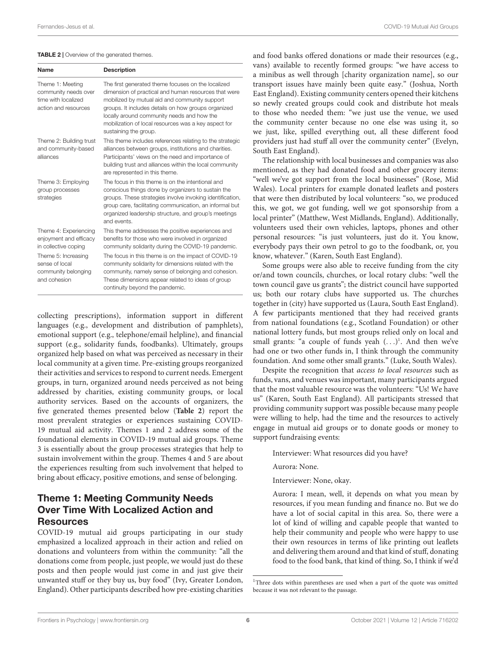#### <span id="page-5-0"></span>**TABLE 2** | Overview of the generated themes.

| Name                                                                                    | <b>Description</b>                                                                                                                                                                                                                                                                                                                                |
|-----------------------------------------------------------------------------------------|---------------------------------------------------------------------------------------------------------------------------------------------------------------------------------------------------------------------------------------------------------------------------------------------------------------------------------------------------|
| Theme 1: Meeting<br>community needs over<br>time with localized<br>action and resources | The first generated theme focuses on the localized<br>dimension of practical and human resources that were<br>mobilized by mutual aid and community support<br>groups. It includes details on how groups organized<br>locally around community needs and how the<br>mobilization of local resources was a key aspect for<br>sustaining the group. |
| Theme 2: Building trust<br>and community-based<br>alliances                             | This theme includes references relating to the strategic<br>alliances between groups, institutions and charities.<br>Participants' views on the need and importance of<br>building trust and alliances within the local community<br>are represented in this theme.                                                                               |
| Theme 3: Employing<br>group processes<br>strategies                                     | The focus in this theme is on the intentional and<br>conscious things done by organizers to sustain the<br>groups. These strategies involve invoking identification,<br>group care, facilitating communication, an informal but<br>organized leadership structure, and group's meetings<br>and events.                                            |
| Theme 4: Experiencing<br>enjoyment and efficacy<br>in collective coping                 | This theme addresses the positive experiences and<br>benefits for those who were involved in organized<br>community solidarity during the COVID-19 pandemic.                                                                                                                                                                                      |
| Theme 5: Increasing<br>sense of local<br>community belonging<br>and cohesion            | The focus in this theme is on the impact of COVID-19<br>community solidarity for dimensions related with the<br>community, namely sense of belonging and cohesion.<br>These dimensions appear related to ideas of group<br>continuity beyond the pandemic.                                                                                        |

collecting prescriptions), information support in different languages (e.g., development and distribution of pamphlets), emotional support (e.g., telephone/email helpline), and financial support (e.g., solidarity funds, foodbanks). Ultimately, groups organized help based on what was perceived as necessary in their local community at a given time. Pre-existing groups reorganized their activities and services to respond to current needs. Emergent groups, in turn, organized around needs perceived as not being addressed by charities, existing community groups, or local authority services. Based on the accounts of organizers, the five generated themes presented below (**[Table 2](#page-5-0)**) report the most prevalent strategies or experiences sustaining COVID-19 mutual aid activity. Themes 1 and 2 address some of the foundational elements in COVID-19 mutual aid groups. Theme 3 is essentially about the group processes strategies that help to sustain involvement within the group. Themes 4 and 5 are about the experiences resulting from such involvement that helped to bring about efficacy, positive emotions, and sense of belonging.

#### Theme 1: Meeting Community Needs Over Time With Localized Action and Resources

COVID-19 mutual aid groups participating in our study emphasized a localized approach in their action and relied on donations and volunteers from within the community: "all the donations come from people, just people, we would just do these posts and then people would just come in and just give their unwanted stuff or they buy us, buy food" (Ivy, Greater London, England). Other participants described how pre-existing charities

and food banks offered donations or made their resources (e.g., vans) available to recently formed groups: "we have access to a minibus as well through [charity organization name], so our transport issues have mainly been quite easy." (Joshua, North East England). Existing community centers opened their kitchens so newly created groups could cook and distribute hot meals to those who needed them: "we just use the venue, we used the community center because no one else was using it, so we just, like, spilled everything out, all these different food providers just had stuff all over the community center" (Evelyn, South East England).

The relationship with local businesses and companies was also mentioned, as they had donated food and other grocery items: "well we've got support from the local businesses" (Rose, Mid Wales). Local printers for example donated leaflets and posters that were then distributed by local volunteers: "so, we produced this, we got, we got funding, well we got sponsorship from a local printer" (Matthew, West Midlands, England). Additionally, volunteers used their own vehicles, laptops, phones and other personal resources: "is just volunteers, just do it. You know, everybody pays their own petrol to go to the foodbank, or, you know, whatever." (Karen, South East England).

Some groups were also able to receive funding from the city or/and town councils, churches, or local rotary clubs: "well the town council gave us grants"; the district council have supported us; both our rotary clubs have supported us. The churches together in (city) have supported us (Laura, South East England). A few participants mentioned that they had received grants from national foundations (e.g., Scotland Foundation) or other national lottery funds, but most groups relied only on local and small grants: "a couple of funds yeah  $(\ldots)^1$  $(\ldots)^1$ . And then we've had one or two other funds in, I think through the community foundation. And some other small grants." (Luke, South Wales).

Despite the recognition that access to local resources such as funds, vans, and venues was important, many participants argued that the most valuable resource was the volunteers: "Us! We have us" (Karen, South East England). All participants stressed that providing community support was possible because many people were willing to help, had the time and the resources to actively engage in mutual aid groups or to donate goods or money to support fundraising events:

Interviewer: What resources did you have?

Aurora: None.

Interviewer: None, okay.

Aurora: I mean, well, it depends on what you mean by resources, if you mean funding and finance no. But we do have a lot of social capital in this area. So, there were a lot of kind of willing and capable people that wanted to help their community and people who were happy to use their own resources in terms of like printing out leaflets and delivering them around and that kind of stuff, donating food to the food bank, that kind of thing. So, I think if we'd

<span id="page-5-1"></span><sup>&</sup>lt;sup>1</sup>Three dots within parentheses are used when a part of the quote was omitted because it was not relevant to the passage.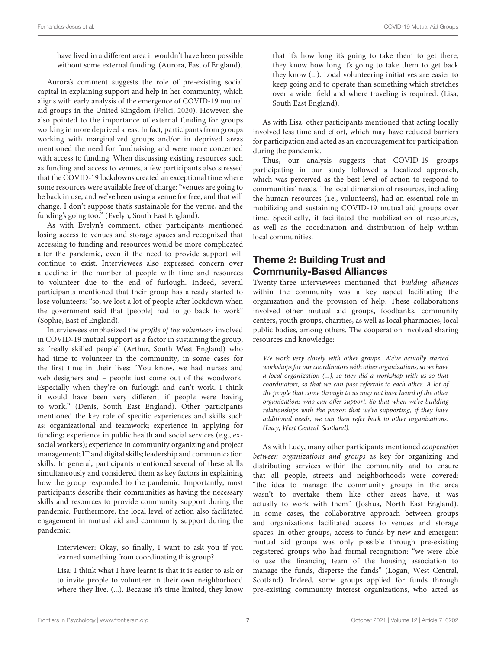have lived in a different area it wouldn't have been possible without some external funding. (Aurora, East of England).

Aurora's comment suggests the role of pre-existing social capital in explaining support and help in her community, which aligns with early analysis of the emergence of COVID-19 mutual aid groups in the United Kingdom [\(Felici,](#page-14-10) [2020\)](#page-14-10). However, she also pointed to the importance of external funding for groups working in more deprived areas. In fact, participants from groups working with marginalized groups and/or in deprived areas mentioned the need for fundraising and were more concerned with access to funding. When discussing existing resources such as funding and access to venues, a few participants also stressed that the COVID-19 lockdowns created an exceptional time where some resources were available free of charge: "venues are going to be back in use, and we've been using a venue for free, and that will change. I don't suppose that's sustainable for the venue, and the funding's going too." (Evelyn, South East England).

As with Evelyn's comment, other participants mentioned losing access to venues and storage spaces and recognized that accessing to funding and resources would be more complicated after the pandemic, even if the need to provide support will continue to exist. Interviewees also expressed concern over a decline in the number of people with time and resources to volunteer due to the end of furlough. Indeed, several participants mentioned that their group has already started to lose volunteers: "so, we lost a lot of people after lockdown when the government said that [people] had to go back to work" (Sophie, East of England).

Interviewees emphasized the profile of the volunteers involved in COVID-19 mutual support as a factor in sustaining the group, as "really skilled people" (Arthur, South West England) who had time to volunteer in the community, in some cases for the first time in their lives: "You know, we had nurses and web designers and – people just come out of the woodwork. Especially when they're on furlough and can't work. I think it would have been very different if people were having to work." (Denis, South East England). Other participants mentioned the key role of specific experiences and skills such as: organizational and teamwork; experience in applying for funding; experience in public health and social services (e.g., exsocial workers); experience in community organizing and project management; IT and digital skills; leadership and communication skills. In general, participants mentioned several of these skills simultaneously and considered them as key factors in explaining how the group responded to the pandemic. Importantly, most participants describe their communities as having the necessary skills and resources to provide community support during the pandemic. Furthermore, the local level of action also facilitated engagement in mutual aid and community support during the pandemic:

Interviewer: Okay, so finally, I want to ask you if you learned something from coordinating this group?

Lisa: I think what I have learnt is that it is easier to ask or to invite people to volunteer in their own neighborhood where they live. (...). Because it's time limited, they know

that it's how long it's going to take them to get there, they know how long it's going to take them to get back they know (...). Local volunteering initiatives are easier to keep going and to operate than something which stretches over a wider field and where traveling is required. (Lisa, South East England).

As with Lisa, other participants mentioned that acting locally involved less time and effort, which may have reduced barriers for participation and acted as an encouragement for participation during the pandemic.

Thus, our analysis suggests that COVID-19 groups participating in our study followed a localized approach, which was perceived as the best level of action to respond to communities' needs. The local dimension of resources, including the human resources (i.e., volunteers), had an essential role in mobilizing and sustaining COVID-19 mutual aid groups over time. Specifically, it facilitated the mobilization of resources, as well as the coordination and distribution of help within local communities.

# Theme 2: Building Trust and Community-Based Alliances

Twenty-three interviewees mentioned that building alliances within the community was a key aspect facilitating the organization and the provision of help. These collaborations involved other mutual aid groups, foodbanks, community centers, youth groups, charities, as well as local pharmacies, local public bodies, among others. The cooperation involved sharing resources and knowledge:

We work very closely with other groups. We've actually started workshops for our coordinators with other organizations, so we have a local organization (...), so they did a workshop with us so that coordinators, so that we can pass referrals to each other. A lot of the people that come through to us may not have heard of the other organizations who can offer support. So that when we're building relationships with the person that we're supporting, if they have additional needs, we can then refer back to other organizations. (Lucy, West Central, Scotland).

As with Lucy, many other participants mentioned cooperation between organizations and groups as key for organizing and distributing services within the community and to ensure that all people, streets and neighborhoods were covered: "the idea to manage the community groups in the area wasn't to overtake them like other areas have, it was actually to work with them" (Joshua, North East England). In some cases, the collaborative approach between groups and organizations facilitated access to venues and storage spaces. In other groups, access to funds by new and emergent mutual aid groups was only possible through pre-existing registered groups who had formal recognition: "we were able to use the financing team of the housing association to manage the funds, disperse the funds" (Logan, West Central, Scotland). Indeed, some groups applied for funds through pre-existing community interest organizations, who acted as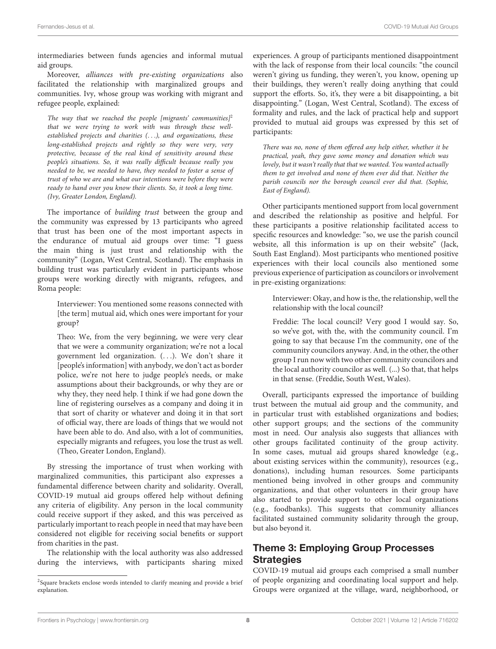intermediaries between funds agencies and informal mutual aid groups.

Moreover, alliances with pre-existing organizations also facilitated the relationship with marginalized groups and communities. Ivy, whose group was working with migrant and refugee people, explained:

The way that we reached the people [migrants' communities]<sup>[2](#page-7-0)</sup> that we were trying to work with was through these wellestablished projects and charities (. . .), and organizations, these long-established projects and rightly so they were very, very protective, because of the real kind of sensitivity around these people's situations. So, it was really difficult because really you needed to be, we needed to have, they needed to foster a sense of trust of who we are and what our intentions were before they were ready to hand over you know their clients. So, it took a long time. (Ivy, Greater London, England).

The importance of building trust between the group and the community was expressed by 13 participants who agreed that trust has been one of the most important aspects in the endurance of mutual aid groups over time: "I guess the main thing is just trust and relationship with the community" (Logan, West Central, Scotland). The emphasis in building trust was particularly evident in participants whose groups were working directly with migrants, refugees, and Roma people:

Interviewer: You mentioned some reasons connected with [the term] mutual aid, which ones were important for your group?

Theo: We, from the very beginning, we were very clear that we were a community organization; we're not a local government led organization. (. . .). We don't share it [people's information] with anybody, we don't act as border police, we're not here to judge people's needs, or make assumptions about their backgrounds, or why they are or why they, they need help. I think if we had gone down the line of registering ourselves as a company and doing it in that sort of charity or whatever and doing it in that sort of official way, there are loads of things that we would not have been able to do. And also, with a lot of communities, especially migrants and refugees, you lose the trust as well. (Theo, Greater London, England).

By stressing the importance of trust when working with marginalized communities, this participant also expresses a fundamental difference between charity and solidarity. Overall, COVID-19 mutual aid groups offered help without defining any criteria of eligibility. Any person in the local community could receive support if they asked, and this was perceived as particularly important to reach people in need that may have been considered not eligible for receiving social benefits or support from charities in the past.

The relationship with the local authority was also addressed during the interviews, with participants sharing mixed experiences. A group of participants mentioned disappointment with the lack of response from their local councils: "the council weren't giving us funding, they weren't, you know, opening up their buildings, they weren't really doing anything that could support the efforts. So, it's, they were a bit disappointing, a bit disappointing." (Logan, West Central, Scotland). The excess of formality and rules, and the lack of practical help and support provided to mutual aid groups was expressed by this set of participants:

There was no, none of them offered any help either, whether it be practical, yeah, they gave some money and donation which was lovely, but it wasn't really that that we wanted. You wanted actually them to get involved and none of them ever did that. Neither the parish councils nor the borough council ever did that. (Sophie, East of England).

Other participants mentioned support from local government and described the relationship as positive and helpful. For these participants a positive relationship facilitated access to specific resources and knowledge: "so, we use the parish council website, all this information is up on their website" (Jack, South East England). Most participants who mentioned positive experiences with their local councils also mentioned some previous experience of participation as councilors or involvement in pre-existing organizations:

Interviewer: Okay, and how is the, the relationship, well the relationship with the local council?

Freddie: The local council? Very good I would say. So, so we've got, with the, with the community council. I'm going to say that because I'm the community, one of the community councilors anyway. And, in the other, the other group I run now with two other community councilors and the local authority councilor as well. (...) So that, that helps in that sense. (Freddie, South West, Wales).

Overall, participants expressed the importance of building trust between the mutual aid group and the community, and in particular trust with established organizations and bodies; other support groups; and the sections of the community most in need. Our analysis also suggests that alliances with other groups facilitated continuity of the group activity. In some cases, mutual aid groups shared knowledge (e.g., about existing services within the community), resources (e.g., donations), including human resources. Some participants mentioned being involved in other groups and community organizations, and that other volunteers in their group have also started to provide support to other local organizations (e.g., foodbanks). This suggests that community alliances facilitated sustained community solidarity through the group, but also beyond it.

# Theme 3: Employing Group Processes **Strategies**

COVID-19 mutual aid groups each comprised a small number of people organizing and coordinating local support and help. Groups were organized at the village, ward, neighborhood, or

<span id="page-7-0"></span><sup>&</sup>lt;sup>2</sup>Square brackets enclose words intended to clarify meaning and provide a brief explanation.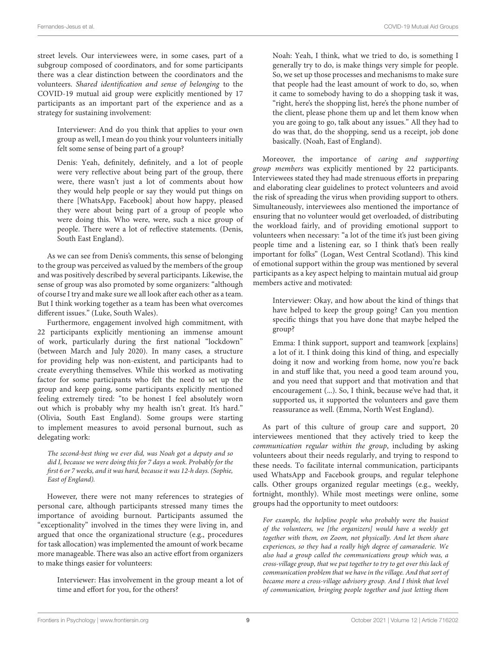street levels. Our interviewees were, in some cases, part of a subgroup composed of coordinators, and for some participants there was a clear distinction between the coordinators and the volunteers. Shared identification and sense of belonging to the COVID-19 mutual aid group were explicitly mentioned by 17 participants as an important part of the experience and as a strategy for sustaining involvement:

Interviewer: And do you think that applies to your own group as well, I mean do you think your volunteers initially felt some sense of being part of a group?

Denis: Yeah, definitely, definitely, and a lot of people were very reflective about being part of the group, there were, there wasn't just a lot of comments about how they would help people or say they would put things on there [WhatsApp, Facebook] about how happy, pleased they were about being part of a group of people who were doing this. Who were, were, such a nice group of people. There were a lot of reflective statements. (Denis, South East England).

As we can see from Denis's comments, this sense of belonging to the group was perceived as valued by the members of the group and was positively described by several participants. Likewise, the sense of group was also promoted by some organizers: "although of course I try and make sure we all look after each other as a team. But I think working together as a team has been what overcomes different issues." (Luke, South Wales).

Furthermore, engagement involved high commitment, with 22 participants explicitly mentioning an immense amount of work, particularly during the first national "lockdown" (between March and July 2020). In many cases, a structure for providing help was non-existent, and participants had to create everything themselves. While this worked as motivating factor for some participants who felt the need to set up the group and keep going, some participants explicitly mentioned feeling extremely tired: "to be honest I feel absolutely worn out which is probably why my health isn't great. It's hard." (Olivia, South East England). Some groups were starting to implement measures to avoid personal burnout, such as delegating work:

The second-best thing we ever did, was Noah got a deputy and so did I, because we were doing this for 7 days a week. Probably for the first 6 or 7 weeks, and it was hard, because it was 12-h days. (Sophie, East of England).

However, there were not many references to strategies of personal care, although participants stressed many times the importance of avoiding burnout. Participants assumed the "exceptionality" involved in the times they were living in, and argued that once the organizational structure (e.g., procedures for task allocation) was implemented the amount of work became more manageable. There was also an active effort from organizers to make things easier for volunteers:

Interviewer: Has involvement in the group meant a lot of time and effort for you, for the others?

Noah: Yeah, I think, what we tried to do, is something I generally try to do, is make things very simple for people. So, we set up those processes and mechanisms to make sure that people had the least amount of work to do, so, when it came to somebody having to do a shopping task it was, "right, here's the shopping list, here's the phone number of the client, please phone them up and let them know when you are going to go, talk about any issues." All they had to do was that, do the shopping, send us a receipt, job done basically. (Noah, East of England).

Moreover, the importance of caring and supporting group members was explicitly mentioned by 22 participants. Interviewees stated they had made strenuous efforts in preparing and elaborating clear guidelines to protect volunteers and avoid the risk of spreading the virus when providing support to others. Simultaneously, interviewees also mentioned the importance of ensuring that no volunteer would get overloaded, of distributing the workload fairly, and of providing emotional support to volunteers when necessary: "a lot of the time it's just been giving people time and a listening ear, so I think that's been really important for folks" (Logan, West Central Scotland). This kind of emotional support within the group was mentioned by several participants as a key aspect helping to maintain mutual aid group members active and motivated:

Interviewer: Okay, and how about the kind of things that have helped to keep the group going? Can you mention specific things that you have done that maybe helped the group?

Emma: I think support, support and teamwork [explains] a lot of it. I think doing this kind of thing, and especially doing it now and working from home, now you're back in and stuff like that, you need a good team around you, and you need that support and that motivation and that encouragement (...). So, I think, because we've had that, it supported us, it supported the volunteers and gave them reassurance as well. (Emma, North West England).

As part of this culture of group care and support, 20 interviewees mentioned that they actively tried to keep the communication regular within the group, including by asking volunteers about their needs regularly, and trying to respond to these needs. To facilitate internal communication, participants used WhatsApp and Facebook groups, and regular telephone calls. Other groups organized regular meetings (e.g., weekly, fortnight, monthly). While most meetings were online, some groups had the opportunity to meet outdoors:

For example, the helpline people who probably were the busiest of the volunteers, we [the organizers] would have a weekly get together with them, on Zoom, not physically. And let them share experiences, so they had a really high degree of camaraderie. We also had a group called the communications group which was, a cross-village group, that we put together to try to get over this lack of communication problem that we have in the village. And that sort of became more a cross-village advisory group. And I think that level of communication, bringing people together and just letting them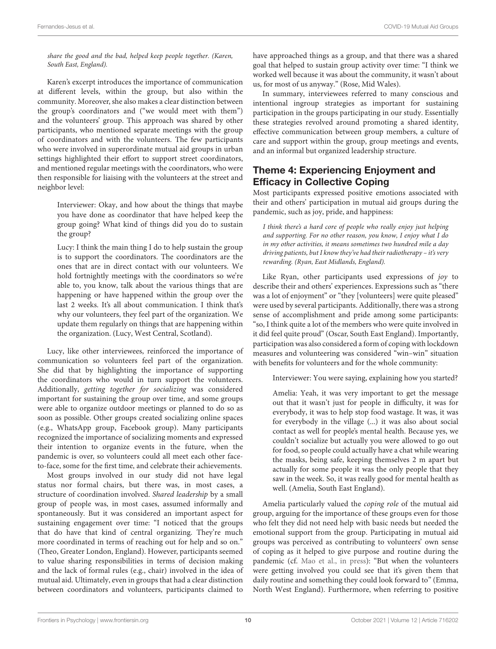#### share the good and the bad, helped keep people together. (Karen, South East, England).

Karen's excerpt introduces the importance of communication at different levels, within the group, but also within the community. Moreover, she also makes a clear distinction between the group's coordinators and ("we would meet with them") and the volunteers' group. This approach was shared by other participants, who mentioned separate meetings with the group of coordinators and with the volunteers. The few participants who were involved in superordinate mutual aid groups in urban settings highlighted their effort to support street coordinators, and mentioned regular meetings with the coordinators, who were then responsible for liaising with the volunteers at the street and neighbor level:

Interviewer: Okay, and how about the things that maybe you have done as coordinator that have helped keep the group going? What kind of things did you do to sustain the group?

Lucy: I think the main thing I do to help sustain the group is to support the coordinators. The coordinators are the ones that are in direct contact with our volunteers. We hold fortnightly meetings with the coordinators so we're able to, you know, talk about the various things that are happening or have happened within the group over the last 2 weeks. It's all about communication. I think that's why our volunteers, they feel part of the organization. We update them regularly on things that are happening within the organization. (Lucy, West Central, Scotland).

Lucy, like other interviewees, reinforced the importance of communication so volunteers feel part of the organization. She did that by highlighting the importance of supporting the coordinators who would in turn support the volunteers. Additionally, getting together for socializing was considered important for sustaining the group over time, and some groups were able to organize outdoor meetings or planned to do so as soon as possible. Other groups created socializing online spaces (e.g., WhatsApp group, Facebook group). Many participants recognized the importance of socializing moments and expressed their intention to organize events in the future, when the pandemic is over, so volunteers could all meet each other faceto-face, some for the first time, and celebrate their achievements.

Most groups involved in our study did not have legal status nor formal chairs, but there was, in most cases, a structure of coordination involved. Shared leadership by a small group of people was, in most cases, assumed informally and spontaneously. But it was considered an important aspect for sustaining engagement over time: "I noticed that the groups that do have that kind of central organizing. They're much more coordinated in terms of reaching out for help and so on." (Theo, Greater London, England). However, participants seemed to value sharing responsibilities in terms of decision making and the lack of formal rules (e.g., chair) involved in the idea of mutual aid. Ultimately, even in groups that had a clear distinction between coordinators and volunteers, participants claimed to

have approached things as a group, and that there was a shared goal that helped to sustain group activity over time: "I think we worked well because it was about the community, it wasn't about us, for most of us anyway." (Rose, Mid Wales).

In summary, interviewees referred to many conscious and intentional ingroup strategies as important for sustaining participation in the groups participating in our study. Essentially these strategies revolved around promoting a shared identity, effective communication between group members, a culture of care and support within the group, group meetings and events, and an informal but organized leadership structure.

### Theme 4: Experiencing Enjoyment and Efficacy in Collective Coping

Most participants expressed positive emotions associated with their and others' participation in mutual aid groups during the pandemic, such as joy, pride, and happiness:

I think there's a hard core of people who really enjoy just helping and supporting. For no other reason, you know, I enjoy what I do in my other activities, it means sometimes two hundred mile a day driving patients, but I know they've had their radiotherapy – it's very rewarding. (Ryan, East Midlands, England).

Like Ryan, other participants used expressions of joy to describe their and others' experiences. Expressions such as "there was a lot of enjoyment" or "they [volunteers] were quite pleased" were used by several participants. Additionally, there was a strong sense of accomplishment and pride among some participants: "so, I think quite a lot of the members who were quite involved in it did feel quite proud" (Oscar, South East England). Importantly, participation was also considered a form of coping with lockdown measures and volunteering was considered "win–win" situation with benefits for volunteers and for the whole community:

Interviewer: You were saying, explaining how you started?

Amelia: Yeah, it was very important to get the message out that it wasn't just for people in difficulty, it was for everybody, it was to help stop food wastage. It was, it was for everybody in the village (...) it was also about social contact as well for people's mental health. Because yes, we couldn't socialize but actually you were allowed to go out for food, so people could actually have a chat while wearing the masks, being safe, keeping themselves 2 m apart but actually for some people it was the only people that they saw in the week. So, it was really good for mental health as well. (Amelia, South East England).

Amelia particularly valued the coping role of the mutual aid group, arguing for the importance of these groups even for those who felt they did not need help with basic needs but needed the emotional support from the group. Participating in mutual aid groups was perceived as contributing to volunteers' own sense of coping as it helped to give purpose and routine during the pandemic (cf. [Mao et al.,](#page-15-23) [in press\)](#page-15-23): "But when the volunteers were getting involved you could see that it's given them that daily routine and something they could look forward to" (Emma, North West England). Furthermore, when referring to positive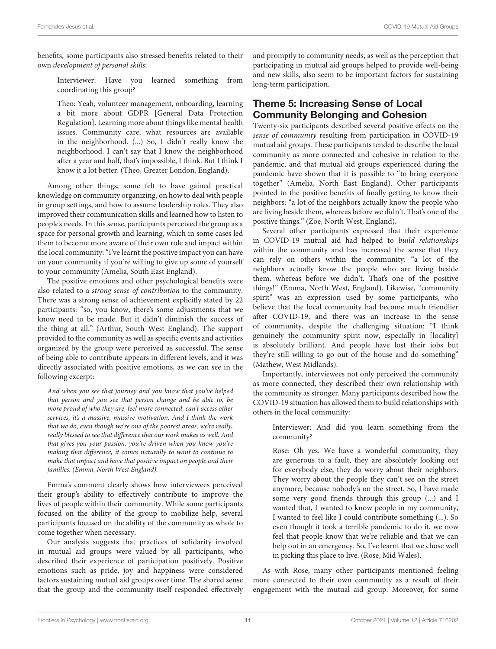benefits, some participants also stressed benefits related to their own development of personal skills:

Interviewer: Have you learned something from coordinating this group?

Theo: Yeah, volunteer management, onboarding, learning a bit more about GDPR [General Data Protection Regulation]. Learning more about things like mental health issues. Community care, what resources are available in the neighborhood. (...) So, I didn't really know the neighborhood. I can't say that I know the neighborhood after a year and half, that's impossible, I think. But I think I know it a lot better. (Theo, Greater London, England).

Among other things, some felt to have gained practical knowledge on community organizing, on how to deal with people in group settings, and how to assume leadership roles. They also improved their communication skills and learned how to listen to people's needs. In this sense, participants perceived the group as a space for personal growth and learning, which in some cases led them to become more aware of their own role and impact within the local community: "I've learnt the positive impact you can have on your community if you're willing to give up some of yourself to your community (Amelia, South East England).

The positive emotions and other psychological benefits were also related to a strong sense of contribution to the community. There was a strong sense of achievement explicitly stated by 22 participants: "so, you know, there's some adjustments that we know need to be made. But it didn't diminish the success of the thing at all." (Arthur, South West England). The support provided to the community as well as specific events and activities organized by the group were perceived as successful. The sense of being able to contribute appears in different levels, and it was directly associated with positive emotions, as we can see in the following excerpt:

And when you see that journey and you know that you've helped that person and you see that person change and be able to, be more proud of who they are, feel more connected, can't access other services, it's a massive, massive motivation. And I think the work that we do, even though we're one of the poorest areas, we're really, really blessed to see that difference that our work makes as well. And that gives you your passion, you're driven when you know you're making that difference, it comes naturally to want to continue to make that impact and have that positive impact on people and their families. (Emma, North West England).

Emma's comment clearly shows how interviewees perceived their group's ability to effectively contribute to improve the lives of people within their community. While some participants focused on the ability of the group to mobilize help, several participants focused on the ability of the community as whole to come together when necessary.

Our analysis suggests that practices of solidarity involved in mutual aid groups were valued by all participants, who described their experience of participation positively. Positive emotions such as pride, joy and happiness were considered factors sustaining mutual aid groups over time. The shared sense that the group and the community itself responded effectively and promptly to community needs, as well as the perception that participating in mutual aid groups helped to provide well-being and new skills, also seem to be important factors for sustaining long-term participation.

## Theme 5: Increasing Sense of Local Community Belonging and Cohesion

Twenty-six participants described several positive effects on the sense of community resulting from participation in COVID-19 mutual aid groups. These participants tended to describe the local community as more connected and cohesive in relation to the pandemic, and that mutual aid groups experienced during the pandemic have shown that it is possible to "to bring everyone together" (Amelia, North East England). Other participants pointed to the positive benefits of finally getting to know their neighbors: "a lot of the neighbors actually know the people who are living beside them, whereas before we didn't. That's one of the positive things." (Zoe, North West, England).

Several other participants expressed that their experience in COVID-19 mutual aid had helped to build relationships within the community and has increased the sense that they can rely on others within the community: "a lot of the neighbors actually know the people who are living beside them, whereas before we didn't. That's one of the positive things!" (Emma, North West, England). Likewise, "community spirit" was an expression used by some participants, who believe that the local community had become much friendlier after COVID-19, and there was an increase in the sense of community, despite the challenging situation: "I think genuinely the community spirit now, especially in [locality] is absolutely brilliant. And people have lost their jobs but they're still willing to go out of the house and do something" (Mathew, West Midlands).

Importantly, interviewees not only perceived the community as more connected, they described their own relationship with the community as stronger. Many participants described how the COVID-19 situation has allowed them to build relationships with others in the local community:

Interviewer: And did you learn something from the community?

Rose: Oh yes. We have a wonderful community, they are generous to a fault, they are absolutely looking out for everybody else, they do worry about their neighbors. They worry about the people they can't see on the street anymore, because nobody's on the street. So, I have made some very good friends through this group (...) and I wanted that, I wanted to know people in my community, I wanted to feel like I could contribute something (...). So even though it took a terrible pandemic to do it, we now feel that people know that we're reliable and that we can help out in an emergency. So, I've learnt that we chose well in picking this place to live. (Rose, Mid Wales).

As with Rose, many other participants mentioned feeling more connected to their own community as a result of their engagement with the mutual aid group. Moreover, for some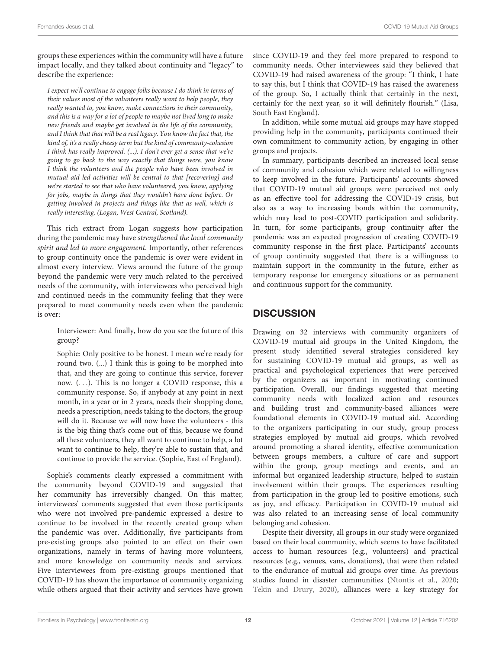groups these experiences within the community will have a future impact locally, and they talked about continuity and "legacy" to describe the experience:

I expect we'll continue to engage folks because I do think in terms of their values most of the volunteers really want to help people, they really wanted to, you know, make connections in their community, and this is a way for a lot of people to maybe not lived long to make new friends and maybe get involved in the life of the community, and I think that that will be a real legacy. You know the fact that, the kind of, it's a really cheesy term but the kind of community-cohesion I think has really improved. (...). I don't ever get a sense that we're going to go back to the way exactly that things were, you know I think the volunteers and the people who have been involved in mutual aid led activities will be central to that [recovering] and we're started to see that who have volunteered, you know, applying for jobs, maybe in things that they wouldn't have done before. Or getting involved in projects and things like that as well, which is really interesting. (Logan, West Central, Scotland).

This rich extract from Logan suggests how participation during the pandemic may have strengthened the local community spirit and led to more engagement. Importantly, other references to group continuity once the pandemic is over were evident in almost every interview. Views around the future of the group beyond the pandemic were very much related to the perceived needs of the community, with interviewees who perceived high and continued needs in the community feeling that they were prepared to meet community needs even when the pandemic is over:

Interviewer: And finally, how do you see the future of this group?

Sophie: Only positive to be honest. I mean we're ready for round two. (...) I think this is going to be morphed into that, and they are going to continue this service, forever now. (. . .). This is no longer a COVID response, this a community response. So, if anybody at any point in next month, in a year or in 2 years, needs their shopping done, needs a prescription, needs taking to the doctors, the group will do it. Because we will now have the volunteers - this is the big thing that's come out of this, because we found all these volunteers, they all want to continue to help, a lot want to continue to help, they're able to sustain that, and continue to provide the service. (Sophie, East of England).

Sophie's comments clearly expressed a commitment with the community beyond COVID-19 and suggested that her community has irreversibly changed. On this matter, interviewees' comments suggested that even those participants who were not involved pre-pandemic expressed a desire to continue to be involved in the recently created group when the pandemic was over. Additionally, five participants from pre-existing groups also pointed to an effect on their own organizations, namely in terms of having more volunteers, and more knowledge on community needs and services. Five interviewees from pre-existing groups mentioned that COVID-19 has shown the importance of community organizing while others argued that their activity and services have grown

since COVID-19 and they feel more prepared to respond to community needs. Other interviewees said they believed that COVID-19 had raised awareness of the group: "I think, I hate to say this, but I think that COVID-19 has raised the awareness of the group. So, I actually think that certainly in the next, certainly for the next year, so it will definitely flourish." (Lisa, South East England).

In addition, while some mutual aid groups may have stopped providing help in the community, participants continued their own commitment to community action, by engaging in other groups and projects.

In summary, participants described an increased local sense of community and cohesion which were related to willingness to keep involved in the future. Participants' accounts showed that COVID-19 mutual aid groups were perceived not only as an effective tool for addressing the COVID-19 crisis, but also as a way to increasing bonds within the community, which may lead to post-COVID participation and solidarity. In turn, for some participants, group continuity after the pandemic was an expected progression of creating COVID-19 community response in the first place. Participants' accounts of group continuity suggested that there is a willingness to maintain support in the community in the future, either as temporary response for emergency situations or as permanent and continuous support for the community.

## **DISCUSSION**

Drawing on 32 interviews with community organizers of COVID-19 mutual aid groups in the United Kingdom, the present study identified several strategies considered key for sustaining COVID-19 mutual aid groups, as well as practical and psychological experiences that were perceived by the organizers as important in motivating continued participation. Overall, our findings suggested that meeting community needs with localized action and resources and building trust and community-based alliances were foundational elements in COVID-19 mutual aid. According to the organizers participating in our study, group process strategies employed by mutual aid groups, which revolved around promoting a shared identity, effective communication between groups members, a culture of care and support within the group, group meetings and events, and an informal but organized leadership structure, helped to sustain involvement within their groups. The experiences resulting from participation in the group led to positive emotions, such as joy, and efficacy. Participation in COVID-19 mutual aid was also related to an increasing sense of local community belonging and cohesion.

Despite their diversity, all groups in our study were organized based on their local community, which seems to have facilitated access to human resources (e.g., volunteers) and practical resources (e.g., venues, vans, donations), that were then related to the endurance of mutual aid groups over time. As previous studies found in disaster communities [\(Ntontis et al.,](#page-15-7) [2020;](#page-15-7) [Tekin and Drury,](#page-15-26) [2020\)](#page-15-26), alliances were a key strategy for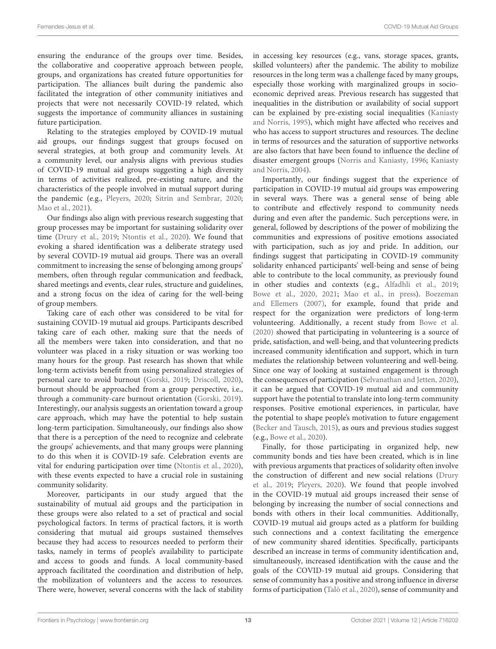ensuring the endurance of the groups over time. Besides, the collaborative and cooperative approach between people, groups, and organizations has created future opportunities for participation. The alliances built during the pandemic also facilitated the integration of other community initiatives and projects that were not necessarily COVID-19 related, which suggests the importance of community alliances in sustaining future participation.

Relating to the strategies employed by COVID-19 mutual aid groups, our findings suggest that groups focused on several strategies, at both group and community levels. At a community level, our analysis aligns with previous studies of COVID-19 mutual aid groups suggesting a high diversity in terms of activities realized, pre-existing nature, and the characteristics of the people involved in mutual support during the pandemic (e.g., [Pleyers,](#page-15-1) [2020;](#page-15-1) [Sitrin and Sembrar,](#page-15-2) [2020;](#page-15-2) [Mao et al.,](#page-15-3) [2021\)](#page-15-3).

Our findings also align with previous research suggesting that group processes may be important for sustaining solidarity over time [\(Drury et al.,](#page-14-9) [2019;](#page-14-9) [Ntontis et al.,](#page-15-7) [2020\)](#page-15-7). We found that evoking a shared identification was a deliberate strategy used by several COVID-19 mutual aid groups. There was an overall commitment to increasing the sense of belonging among groups' members, often through regular communication and feedback, shared meetings and events, clear rules, structure and guidelines, and a strong focus on the idea of caring for the well-being of group members.

Taking care of each other was considered to be vital for sustaining COVID-19 mutual aid groups. Participants described taking care of each other, making sure that the needs of all the members were taken into consideration, and that no volunteer was placed in a risky situation or was working too many hours for the group. Past research has shown that while long-term activists benefit from using personalized strategies of personal care to avoid burnout [\(Gorski,](#page-15-29) [2019;](#page-15-29) [Driscoll,](#page-14-19) [2020\)](#page-14-19), burnout should be approached from a group perspective, i.e., through a community-care burnout orientation [\(Gorski,](#page-15-29) [2019\)](#page-15-29). Interestingly, our analysis suggests an orientation toward a group care approach, which may have the potential to help sustain long-term participation. Simultaneously, our findings also show that there is a perception of the need to recognize and celebrate the groups' achievements, and that many groups were planning to do this when it is COVID-19 safe. Celebration events are vital for enduring participation over time [\(Ntontis et al.,](#page-15-7) [2020\)](#page-15-7), with these events expected to have a crucial role in sustaining community solidarity.

Moreover, participants in our study argued that the sustainability of mutual aid groups and the participation in these groups were also related to a set of practical and social psychological factors. In terms of practical factors, it is worth considering that mutual aid groups sustained themselves because they had access to resources needed to perform their tasks, namely in terms of people's availability to participate and access to goods and funds. A local community-based approach facilitated the coordination and distribution of help, the mobilization of volunteers and the access to resources. There were, however, several concerns with the lack of stability in accessing key resources (e.g., vans, storage spaces, grants, skilled volunteers) after the pandemic. The ability to mobilize resources in the long term was a challenge faced by many groups, especially those working with marginalized groups in socioeconomic deprived areas. Previous research has suggested that inequalities in the distribution or availability of social support can be explained by pre-existing social inequalities [\(Kaniasty](#page-15-33) [and Norris,](#page-15-33) [1995\)](#page-15-33), which might have affected who receives and who has access to support structures and resources. The decline in terms of resources and the saturation of supportive networks are also factors that have been found to influence the decline of disaster emergent groups [\(Norris and Kaniasty,](#page-15-8) [1996;](#page-15-8) [Kaniasty](#page-15-9) [and Norris,](#page-15-9) [2004\)](#page-15-9).

Importantly, our findings suggest that the experience of participation in COVID-19 mutual aid groups was empowering in several ways. There was a general sense of being able to contribute and effectively respond to community needs during and even after the pandemic. Such perceptions were, in general, followed by descriptions of the power of mobilizing the communities and expressions of positive emotions associated with participation, such as joy and pride. In addition, our findings suggest that participating in COVID-19 community solidarity enhanced participants' well-being and sense of being able to contribute to the local community, as previously found in other studies and contexts (e.g., [Alfadhli et al.,](#page-14-20) [2019;](#page-14-20) [Bowe et al.,](#page-14-21) [2020,](#page-14-21) [2021;](#page-14-8) [Mao et al.,](#page-15-23) [in press\)](#page-15-23). [Boezeman](#page-14-22) [and Ellemers](#page-14-22) [\(2007\)](#page-14-22), for example, found that pride and respect for the organization were predictors of long-term volunteering. Additionally, a recent study from [Bowe et al.](#page-14-21) [\(2020\)](#page-14-21) showed that participating in volunteering is a source of pride, satisfaction, and well-being, and that volunteering predicts increased community identification and support, which in turn mediates the relationship between volunteering and well-being. Since one way of looking at sustained engagement is through the consequences of participation [\(Selvanathan and Jetten,](#page-15-34) [2020\)](#page-15-34), it can be argued that COVID-19 mutual aid and community support have the potential to translate into long-term community responses. Positive emotional experiences, in particular, have the potential to shape people's motivation to future engagement [\(Becker and Tausch,](#page-14-14) [2015\)](#page-14-14), as ours and previous studies suggest (e.g., [Bowe et al.,](#page-14-21) [2020\)](#page-14-21).

Finally, for those participating in organized help, new community bonds and ties have been created, which is in line with previous arguments that practices of solidarity often involve the construction of different and new social relations [\(Drury](#page-14-9) [et al.,](#page-14-9) [2019;](#page-14-9) [Pleyers,](#page-15-1) [2020\)](#page-15-1). We found that people involved in the COVID-19 mutual aid groups increased their sense of belonging by increasing the number of social connections and bonds with others in their local communities. Additionally, COVID-19 mutual aid groups acted as a platform for building such connections and a context facilitating the emergence of new community shared identities. Specifically, participants described an increase in terms of community identification and, simultaneously, increased identification with the cause and the goals of the COVID-19 mutual aid groups. Considering that sense of community has a positive and strong influence in diverse forms of participation [\(Talò et al.,](#page-15-35) [2020\)](#page-15-35), sense of community and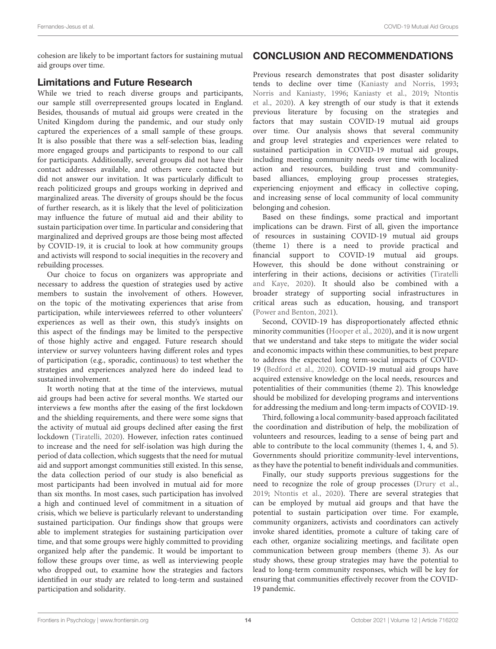cohesion are likely to be important factors for sustaining mutual aid groups over time.

#### Limitations and Future Research

While we tried to reach diverse groups and participants, our sample still overrepresented groups located in England. Besides, thousands of mutual aid groups were created in the United Kingdom during the pandemic, and our study only captured the experiences of a small sample of these groups. It is also possible that there was a self-selection bias, leading more engaged groups and participants to respond to our call for participants. Additionally, several groups did not have their contact addresses available, and others were contacted but did not answer our invitation. It was particularly difficult to reach politicized groups and groups working in deprived and marginalized areas. The diversity of groups should be the focus of further research, as it is likely that the level of politicization may influence the future of mutual aid and their ability to sustain participation over time. In particular and considering that marginalized and deprived groups are those being most affected by COVID-19, it is crucial to look at how community groups and activists will respond to social inequities in the recovery and rebuilding processes.

Our choice to focus on organizers was appropriate and necessary to address the question of strategies used by active members to sustain the involvement of others. However, on the topic of the motivating experiences that arise from participation, while interviewees referred to other volunteers' experiences as well as their own, this study's insights on this aspect of the findings may be limited to the perspective of those highly active and engaged. Future research should interview or survey volunteers having different roles and types of participation (e.g., sporadic, continuous) to test whether the strategies and experiences analyzed here do indeed lead to sustained involvement.

It worth noting that at the time of the interviews, mutual aid groups had been active for several months. We started our interviews a few months after the easing of the first lockdown and the shielding requirements, and there were some signs that the activity of mutual aid groups declined after easing the first lockdown [\(Tiratelli,](#page-16-6) [2020\)](#page-16-6). However, infection rates continued to increase and the need for self-isolation was high during the period of data collection, which suggests that the need for mutual aid and support amongst communities still existed. In this sense, the data collection period of our study is also beneficial as most participants had been involved in mutual aid for more than six months. In most cases, such participation has involved a high and continued level of commitment in a situation of crisis, which we believe is particularly relevant to understanding sustained participation. Our findings show that groups were able to implement strategies for sustaining participation over time, and that some groups were highly committed to providing organized help after the pandemic. It would be important to follow these groups over time, as well as interviewing people who dropped out, to examine how the strategies and factors identified in our study are related to long-term and sustained participation and solidarity.

# CONCLUSION AND RECOMMENDATIONS

Previous research demonstrates that post disaster solidarity tends to decline over time [\(Kaniasty and Norris,](#page-15-4) [1993;](#page-15-4) [Norris and Kaniasty,](#page-15-8) [1996;](#page-15-8) [Kaniasty et al.,](#page-15-10) [2019;](#page-15-10) [Ntontis](#page-15-7) [et al.,](#page-15-7) [2020\)](#page-15-7). A key strength of our study is that it extends previous literature by focusing on the strategies and factors that may sustain COVID-19 mutual aid groups over time. Our analysis shows that several community and group level strategies and experiences were related to sustained participation in COVID-19 mutual aid groups, including meeting community needs over time with localized action and resources, building trust and communitybased alliances, employing group processes strategies, experiencing enjoyment and efficacy in collective coping, and increasing sense of local community of local community belonging and cohesion.

Based on these findings, some practical and important implications can be drawn. First of all, given the importance of resources in sustaining COVID-19 mutual aid groups (theme 1) there is a need to provide practical and financial support to COVID-19 mutual aid groups. However, this should be done without constraining or interfering in their actions, decisions or activities [\(Tiratelli](#page-16-0) [and Kaye,](#page-16-0) [2020\)](#page-16-0). It should also be combined with a broader strategy of supporting social infrastructures in critical areas such as education, housing, and transport [\(Power and Benton,](#page-15-36) [2021\)](#page-15-36).

Second, COVID-19 has disproportionately affected ethnic minority communities [\(Hooper et al.,](#page-15-17) [2020\)](#page-15-17), and it is now urgent that we understand and take steps to mitigate the wider social and economic impacts within these communities, to best prepare to address the expected long term-social impacts of COVID-19 [\(Bedford et al.,](#page-14-13) [2020\)](#page-14-13). COVID-19 mutual aid groups have acquired extensive knowledge on the local needs, resources and potentialities of their communities (theme 2). This knowledge should be mobilized for developing programs and interventions for addressing the medium and long-term impacts of COVID-19.

Third, following a local community-based approach facilitated the coordination and distribution of help, the mobilization of volunteers and resources, leading to a sense of being part and able to contribute to the local community (themes 1, 4, and 5). Governments should prioritize community-level interventions, as they have the potential to benefit individuals and communities.

Finally, our study supports previous suggestions for the need to recognize the role of group processes [\(Drury et al.,](#page-14-9) [2019;](#page-14-9) [Ntontis et al.,](#page-15-7) [2020\)](#page-15-7). There are several strategies that can be employed by mutual aid groups and that have the potential to sustain participation over time. For example, community organizers, activists and coordinators can actively invoke shared identities, promote a culture of taking care of each other, organize socializing meetings, and facilitate open communication between group members (theme 3). As our study shows, these group strategies may have the potential to lead to long-term community responses, which will be key for ensuring that communities effectively recover from the COVID-19 pandemic.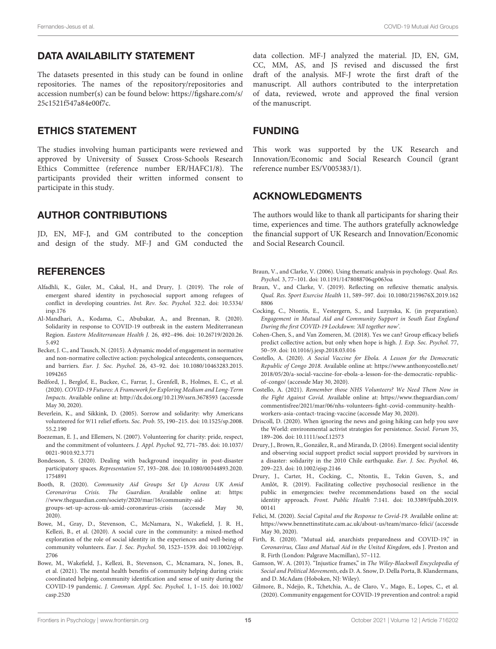#### DATA AVAILABILITY STATEMENT

The datasets presented in this study can be found in online repositories. The names of the repository/repositories and accession number(s) can be found below: [https://figshare.com/s/](https://figshare.com/s/25c1521f547a84e00f7c) [25c1521f547a84e00f7c.](https://figshare.com/s/25c1521f547a84e00f7c)

#### ETHICS STATEMENT

The studies involving human participants were reviewed and approved by University of Sussex Cross-Schools Research Ethics Committee (reference number ER/HAFC1/8). The participants provided their written informed consent to participate in this study.

#### AUTHOR CONTRIBUTIONS

JD, EN, MF-J, and GM contributed to the conception and design of the study. MF-J and GM conducted the

#### **REFERENCES**

- <span id="page-14-20"></span>Alfadhli, K., Güler, M., Cakal, H., and Drury, J. (2019). The role of emergent shared identity in psychosocial support among refugees of conflict in developing countries. Int. Rev. Soc. Psychol. 32:2. [doi: 10.5334/](https://doi.org/10.5334/irsp.176) [irsp.176](https://doi.org/10.5334/irsp.176)
- <span id="page-14-5"></span>Al-Mandhari, A., Kodama, C., Abubakar, A., and Brennan, R. (2020). Solidarity in response to COVID-19 outbreak in the eastern Mediterranean Region. Eastern Mediterranean Health J. 26, 492–496. [doi: 10.26719/2020.26.](https://doi.org/10.26719/2020.26.5.492) [5.492](https://doi.org/10.26719/2020.26.5.492)
- <span id="page-14-14"></span>Becker, J. C., and Tausch, N. (2015). A dynamic model of engagement in normative and non-normative collective action: psychological antecedents, consequences, and barriers. Eur. J. Soc. Psychol. 26, 43–92. [doi: 10.1080/10463283.2015.](https://doi.org/10.1080/10463283.2015.1094265) [1094265](https://doi.org/10.1080/10463283.2015.1094265)
- <span id="page-14-13"></span>Bedford, J., Berglof, E., Buckee, C., Farrar, J., Grenfell, B., Holmes, E. C., et al. (2020). COVID-19 Futures: A Framework for Exploring Medium and Long-Term Impacts. Available online at: <http://dx.doi.org/10.2139/ssrn.3678593> (accessde May 30, 2020).
- <span id="page-14-3"></span>Beverlein, K., and Sikkink, D. (2005). Sorrow and solidarity: why Americans volunteered for 9/11 relief efforts. Soc. Prob. 55, 190–215. [doi: 10.1525/sp.2008.](https://doi.org/10.1525/sp.2008.55.2.190) [55.2.190](https://doi.org/10.1525/sp.2008.55.2.190)
- <span id="page-14-22"></span>Boezeman, E. J., and Ellemers, N. (2007). Volunteering for charity: pride, respect, and the commitment of volunteers. J. Appl. Psychol. 92, 771–785. [doi: 10.1037/](https://doi.org/10.1037/0021-9010.92.3.771) [0021-9010.92.3.771](https://doi.org/10.1037/0021-9010.92.3.771)
- <span id="page-14-12"></span>Bondesson, S. (2020). Dealing with background inequality in post-disaster participatory spaces. Representation 57, 193–208. [doi: 10.1080/00344893.2020.](https://doi.org/10.1080/00344893.2020.1754891) [1754891](https://doi.org/10.1080/00344893.2020.1754891)

<span id="page-14-6"></span>Booth, R. (2020). Community Aid Groups Set Up Across UK Amid Coronavirus Crisis. The Guardian. Available online at: [https:](https://www.theguardian.com/society/2020/mar/16/community-aid-groups-set-up-across-uk-amid-coronavirus-crisis) [//www.theguardian.com/society/2020/mar/16/community-aid](https://www.theguardian.com/society/2020/mar/16/community-aid-groups-set-up-across-uk-amid-coronavirus-crisis)[groups-set-up-across-uk-amid-coronavirus-crisis](https://www.theguardian.com/society/2020/mar/16/community-aid-groups-set-up-across-uk-amid-coronavirus-crisis) (accessde May 30, 2020).

- <span id="page-14-21"></span>Bowe, M., Gray, D., Stevenson, C., McNamara, N., Wakefield, J. R. H., Kellezi, B., et al. (2020). A social cure in the community: a mixed-method exploration of the role of social identity in the experiences and well-being of community volunteers. Eur. J. Soc. Psychol. 50, 1523–1539. [doi: 10.1002/ejsp.](https://doi.org/10.1002/ejsp.2706) [2706](https://doi.org/10.1002/ejsp.2706)
- <span id="page-14-8"></span>Bowe, M., Wakefield, J., Kellezi, B., Stevenson, C., Mcnamara, N., Jones, B., et al. (2021). The mental health benefits of community helping during crisis: coordinated helping, community identification and sense of unity during the COVID-19 pandemic. J. Commun. Appl. Soc. Psychol. 1, 1–15. [doi: 10.1002/](https://doi.org/10.1002/casp.2520) [casp.2520](https://doi.org/10.1002/casp.2520)

data collection. MF-J analyzed the material. JD, EN, GM, CC, MM, AS, and JS revised and discussed the first draft of the analysis. MF-J wrote the first draft of the manuscript. All authors contributed to the interpretation of data, reviewed, wrote and approved the final version of the manuscript.

#### FUNDING

This work was supported by the UK Research and Innovation/Economic and Social Research Council (grant reference number ES/V005383/1).

#### ACKNOWLEDGMENTS

The authors would like to thank all participants for sharing their time, experiences and time. The authors gratefully acknowledge the financial support of UK Research and Innovation/Economic and Social Research Council.

- <span id="page-14-18"></span>Braun, V., and Clarke, V. (2006). Using thematic analysis in psychology. Qual. Res. Psychol. 3, 77–101. [doi: 10.1191/1478088706qp063oa](https://doi.org/10.1191/1478088706qp063oa)
- <span id="page-14-17"></span>Braun, V., and Clarke, V. (2019). Reflecting on reflexive thematic analysis. Qual. Res. Sport Exercise Health 11, 589–597. [doi: 10.1080/2159676X.2019.162](https://doi.org/10.1080/2159676X.2019.1628806) [8806](https://doi.org/10.1080/2159676X.2019.1628806)
- <span id="page-14-11"></span>Cocking, C., Ntontis, E., Vestergern, S., and Luzynska, K. (in preparation). Engagement in Mutual Aid and Community Support in South East England During the first COVID-19 Lockdown: 'All together now'.
- <span id="page-14-16"></span>Cohen-Chen, S., and Van Zomeren, M. (2018). Yes we can? Group efficacy beliefs predict collective action, but only when hope is high. J. Exp. Soc. Psychol. 77, 50–59. [doi: 10.1016/j.jesp.2018.03.016](https://doi.org/10.1016/j.jesp.2018.03.016)
- <span id="page-14-0"></span>Costello, A. (2020). A Social Vaccine for Ebola. A Lesson for the Democratic Republic of Congo 2018. Available online at: [https://www.anthonycostello.net/](https://www.anthonycostello.net/2018/05/20/a-social-vaccine-for-ebola-a-lesson-for-the-democratic-republic-of-congo/) [2018/05/20/a-social-vaccine-for-ebola-a-lesson-for-the-democratic-republic](https://www.anthonycostello.net/2018/05/20/a-social-vaccine-for-ebola-a-lesson-for-the-democratic-republic-of-congo/)[of-congo/](https://www.anthonycostello.net/2018/05/20/a-social-vaccine-for-ebola-a-lesson-for-the-democratic-republic-of-congo/) (accessde May 30, 2020).
- <span id="page-14-2"></span>Costello, A. (2021). Remember those NHS Volunteers? We Need Them Now in the Fight Against Covid. Available online at: [https://www.theguardian.com/](https://www.theguardian.com/commentisfree/2021/mar/06/nhs-volunteers-fight-covid-community-health-workers-asia-contact-tracing-vaccine) [commentisfree/2021/mar/06/nhs-volunteers-fight-covid-community-health](https://www.theguardian.com/commentisfree/2021/mar/06/nhs-volunteers-fight-covid-community-health-workers-asia-contact-tracing-vaccine)[workers-asia-contact-tracing-vaccine](https://www.theguardian.com/commentisfree/2021/mar/06/nhs-volunteers-fight-covid-community-health-workers-asia-contact-tracing-vaccine) (accessde May 30, 2020).
- <span id="page-14-19"></span>Driscoll, D. (2020). When ignoring the news and going hiking can help you save the World: environmental activist strategies for persistence. Sociol. Forum 35, 189–206. [doi: 10.1111/socf.12573](https://doi.org/10.1111/socf.12573)
- <span id="page-14-4"></span>Drury, J., Brown, R., González, R., and Miranda, D. (2016). Emergent social identity and observing social support predict social support provided by survivors in a disaster: solidarity in the 2010 Chile earthquake. Eur. J. Soc. Psychol. 46, 209–223. [doi: 10.1002/ejsp.2146](https://doi.org/10.1002/ejsp.2146)
- <span id="page-14-9"></span>Drury, J., Carter, H., Cocking, C., Ntontis, E., Tekin Guven, S., and Amlôt, R. (2019). Facilitating collective psychosocial resilience in the public in emergencies: twelve recommendations based on the social identity approach. Front. Public Health 7:141. [doi: 10.3389/fpubh.2019.](https://doi.org/10.3389/fpubh.2019.00141) [00141](https://doi.org/10.3389/fpubh.2019.00141)
- <span id="page-14-10"></span>Felici, M. (2020). Social Capital and the Response to Covid-19. Available online at: <https://www.bennettinstitute.cam.ac.uk/about-us/team/marco-felici/> (accessde May 30, 2020).
- <span id="page-14-7"></span>Firth, R. (2020). "Mutual aid, anarchists preparedness and COVID-19," in Coronavirus, Class and Mutual Aid in the United Kingdom, eds J. Preston and R. Firth (London: Palgrave Macmillan), 57–112.
- <span id="page-14-15"></span>Gamson, W. A. (2013). "Injustice frames," in The Wiley-Blackwell Encyclopedia of Social and Political Movements, eds D. A. Snow, D. Della Porta, B. Klandermans, and D. McAdam (Hoboken, NJ: Wiley).
- <span id="page-14-1"></span>Gilmore, B., Ndejjo, R., Tchetchia, A., de Claro, V., Mago, E., Lopes, C., et al. (2020). Community engagement for COVID-19 prevention and control: a rapid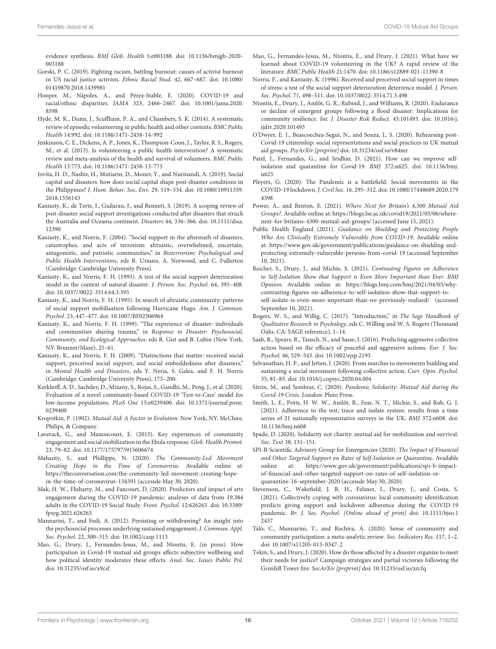evidence synthesis. BMJ Glob. Health 5:e003188. [doi: 10.1136/bmjgh-2020-](https://doi.org/10.1136/bmjgh-2020-003188) [003188](https://doi.org/10.1136/bmjgh-2020-003188)

- <span id="page-15-29"></span>Gorski, P. C. (2019). Fighting racism, battling burnout: causes of activist burnout in US racial justice activists. Ethnic Racial Stud. 42, 667–687. [doi: 10.1080/](https://doi.org/10.1080/01419870.2018.1439981) [01419870.2018.1439981](https://doi.org/10.1080/01419870.2018.1439981)
- <span id="page-15-17"></span>Hooper, M., Nápoles, A., and Pérez-Stable, E. (2020). COVID-19 and racial/ethnic disparities. JAMA 323, 2466–2467. [doi: 10.1001/jama.2020.](https://doi.org/10.1001/jama.2020.8598) [8598](https://doi.org/10.1001/jama.2020.8598)
- <span id="page-15-31"></span>Hyde, M. K., Dunn, J., Scuffham, P. A., and Chambers, S. K. (2014). A systematic review of episodic volunteering in public health and other contexts. BMC Public Health 14:992. [doi: 10.1186/1471-2458-14-992](https://doi.org/10.1186/1471-2458-14-992)
- <span id="page-15-30"></span>Jenkinson, C. E., Dickens, A. P., Jones, K., Thompson-Coon, J., Taylor, R. S., Rogers, M., et al. (2013). Is volunteering a public health intervention? A systematic review and meta-analysis of the health and survival of volunteers. BMC Public Health 13:773. [doi: 10.1186/1471-2458-13-773](https://doi.org/10.1186/1471-2458-13-773)
- <span id="page-15-24"></span>Jovita, H. D., Nashir, H., Mutiarin, D., Moner, Y., and Nurmandi, A. (2019). Social capital and disasters: how does social capital shape post-disaster conditions in the Philippines? J. Hum. Behav. Soc. Env. 29, 519–534. [doi: 10.1080/10911359.](https://doi.org/10.1080/10911359.2018.1556143) [2018.1556143](https://doi.org/10.1080/10911359.2018.1556143)
- <span id="page-15-10"></span>Kaniasty, K., de Terte, I., Guilaran, J., and Bennett, S. (2019). A scoping review of post-disaster social support investigations conducted after disasters that struck the Australia and Oceania continent. Disasters 44, 336–366. [doi: 10.1111/disa.](https://doi.org/10.1111/disa.12390) [12390](https://doi.org/10.1111/disa.12390)
- <span id="page-15-9"></span>Kaniasty, K., and Norris, F. (2004). "Social support in the aftermath of disasters, catastrophes, and acts of terrorism: altruistic, overwhelmed, uncertain, antagonistic, and patriotic communities," in Bioterrorism: Psychological and Public Health Interventions, eds R. Ursano, A. Norwood, and C. Fullerton (Cambridge: Cambridge University Press).
- <span id="page-15-4"></span>Kaniasty, K., and Norris, F. H. (1993). A test of the social support deterioration model in the context of natural disaster. J. Person. Soc. Psychol. 64, 395–408. [doi: 10.1037//0022-3514.64.3.395](https://doi.org/10.1037//0022-3514.64.3.395)
- <span id="page-15-33"></span>Kaniasty, K., and Norris, F. H. (1995). In search of altruistic community: patterns of social support mobilization following Hurricane Hugo. Am. J. Commun. Psychol. 23, 447–477. [doi: 10.1007/BF02506964](https://doi.org/10.1007/BF02506964)
- <span id="page-15-5"></span>Kaniasty, K., and Norris, F. H. (1999). "The experience of disaster: individuals and communities sharing trauma," in Response to Disaster: Psychosocial, Community, and Ecological Approaches, eds R. Gist and B. Lubin (New York, NY: Brunner/Maze), 25–61.
- <span id="page-15-6"></span>Kaniasty, K., and Norris, F. H. (2009). "Distinctions that matter: received social support, perceived social support, and social embeddedness after disasters," in Mental Health and Disasters, eds Y. Neria, S. Galea, and F. H. Norris (Cambridge: Cambridge University Press), 175–200.
- <span id="page-15-18"></span>Kerkhoff, A. D., Sachdev, D., Mizany, S., Rojas, S., Gandhi, M., Peng, J., et al. (2020). Evaluation of a novel community-based COVID-19 'Test-to-Care' model for low-income populations. PLoS One 15:e0239400. [doi: 10.1371/journal.pone.](https://doi.org/10.1371/journal.pone.0239400) [0239400](https://doi.org/10.1371/journal.pone.0239400)
- <span id="page-15-19"></span>Kropotkin, P. (1902). Mutual Aid: A Factor in Evolution. New York, NY: McClure, Philips, & Company.
- <span id="page-15-0"></span>Laverack, G., and Manoncourt, E. (2015). Key experiences of community engagement and social mobilization in the Ebola response. Glob. Health Promot. 23, 79–82. [doi: 10.1177/1757975915606674](https://doi.org/10.1177/1757975915606674)
- <span id="page-15-21"></span>Mahanty, S., and Phillipps, N. (2020). The Community-Led Movement Creating Hope in the Time of Coronavirus. Available online at: [https://theconversation.com/the-community-led-movement-creating-hope](https://theconversation.com/the-community-led-movement-creating-hope-in-the-time-of-coronavirus-134391)[in-the-time-of-coronavirus-134391](https://theconversation.com/the-community-led-movement-creating-hope-in-the-time-of-coronavirus-134391) (accessde May 30, 2020).
- <span id="page-15-11"></span>Mak, H. W., Fluharty, M., and Fancourt, D. (2020). Predictors and impact of arts engagement during the COVID-19 pandemic: analyses of data from 19,384 adults in the COVID-19 Social Study. Front. Psychol. 12:626263. [doi: 10.3389/](https://doi.org/10.3389/fpsyg.2021.626263) [fpsyg.2021.626263](https://doi.org/10.3389/fpsyg.2021.626263)
- <span id="page-15-28"></span>Mannarini, T., and Fedi, A. (2012). Persisting or withdrawing? An insight into the psychosocial processes underlying sustained engagement. J. Commun. Appl. Soc. Psychol. 22, 300–315. [doi: 10.1002/casp.1113](https://doi.org/10.1002/casp.1113)
- <span id="page-15-23"></span>Mao, G., Drury, J., Fernandes-Jesus, M., and Ntontis, E. (in press). How participation in Covid-19 mutual aid groups affects subjective wellbeing and how political identity moderates these effects. Anal. Soc. Issues Public Pol. [doi: 10.31235/osf.io/x9csf](https://doi.org/10.31235/osf.io/x9csf)
- <span id="page-15-3"></span>Mao, G., Fernandes-Jesus, M., Ntontis, E., and Drury, J. (2021). What have we learned about COVID-19 volunteering in the UK? A rapid review of the literature. BMC Public Health 21:1470. [doi: 10.1186/s12889-021-11390-8](https://doi.org/10.1186/s12889-021-11390-8)
- <span id="page-15-8"></span>Norris, F., and Kaniasty, K. (1996). Received and perceived social support in times of stress: a test of the social support deterioration deterrence model. J. Person. Soc. Psychol. 71, 498–511. [doi: 10.1037/0022-3514.71.3.498](https://doi.org/10.1037/0022-3514.71.3.498)
- <span id="page-15-7"></span>Ntontis, E., Drury, J., Amlôt, G. R., Rubind, J., and Williams, R. (2020). Endurance or decline of emergent groups following a flood disaster: Implications for community resilience. Int. J. Disaster Risk Reduct. 45:101493. [doi: 10.1016/j.](https://doi.org/10.1016/j.ijdrr.2020.101493) [ijdrr.2020.101493](https://doi.org/10.1016/j.ijdrr.2020.101493)
- <span id="page-15-22"></span>O'Dwyer, E. J., Beascoechea-Seguí, N., and Souza, L. S. (2020). Rehearsing post-Covid-19 citizenship: social representations and social practices in UK mutual aid groups. PsyArXiv [preprint] [doi: 10.31234/osf.io/v84mr](https://doi.org/10.31234/osf.io/v84mr)
- <span id="page-15-14"></span>Patel, J., Fernandes, G., and Sridhar, D. (2021). How can we improve selfisolation and quarantine for Covid-19. BMJ 372:n625. [doi: 10.1136/bmj.](https://doi.org/10.1136/bmj.n625) [n625](https://doi.org/10.1136/bmj.n625)
- <span id="page-15-1"></span>Pleyers, G. (2020). The Pandemic is a battlefield. Social movements in the COVID-19 lockdown. J. Civil Soc. 16, 295–312. [doi: 10.1080/17448689.2020.179](https://doi.org/10.1080/17448689.2020.1794398) [4398](https://doi.org/10.1080/17448689.2020.1794398)
- <span id="page-15-36"></span>Power, A., and Benton, E. (2021). Where Next for Britain's 4,300 Mutual Aid Groups?. Available online at: [https://blogs.lse.ac.uk/covid19/2021/05/06/where](https://blogs.lse.ac.uk/covid19/2021/05/06/where-next-for-britains-4300-mutual-aid-groups/)[next-for-britains-4300-mutual-aid-groups/](https://blogs.lse.ac.uk/covid19/2021/05/06/where-next-for-britains-4300-mutual-aid-groups/) (accessed June 15, 2021).
- <span id="page-15-12"></span>Public Health England (2021). Guidance on Shielding and Protecting People Who Are Clinically Extremely Vulnerable from COVID-19. Available online at: [https://www.gov.uk/government/publications/guidance-on-shielding-and](https://www.gov.uk/government/publications/guidance-on-shielding-and-protecting-extremely-vulnerable-persons-from-covid-19)[protecting-extremely-vulnerable-persons-from-covid-19](https://www.gov.uk/government/publications/guidance-on-shielding-and-protecting-extremely-vulnerable-persons-from-covid-19) (accessed September 10, 2021).
- <span id="page-15-15"></span>Reicher, S., Drury, J., and Michie, S. (2021). Contrasting Figures on Adherence to Self-Isolation Show that Support is Even More Important than Ever. BMJ Opinion. Available online at: [https://blogs.bmj.com/bmj/2021/04/05/why](https://blogs.bmj.com/bmj/2021/04/05/why-contrasting-figures-on-adherence-to-self-isolation-show-that-support-to-self-isolate-is-even-more-important-than-we-previously-realised/)[contrasting-figures-on-adherence-to-self-isolation-show-that-support-to-](https://blogs.bmj.com/bmj/2021/04/05/why-contrasting-figures-on-adherence-to-self-isolation-show-that-support-to-self-isolate-is-even-more-important-than-we-previously-realised/)

[self-isolate-is-even-more-important-than-we-previously-realised/](https://blogs.bmj.com/bmj/2021/04/05/why-contrasting-figures-on-adherence-to-self-isolation-show-that-support-to-self-isolate-is-even-more-important-than-we-previously-realised/) (accessed September 10, 2021).

- <span id="page-15-32"></span>Rogers, W. S., and Willig, C. (2017). "Introduction," in The Sage Handbook of Qualitative Research in Psychology, eds C. Willing and W. S. Rogers (Thousand Oaks, CA: SAGE reference), 1–14.
- <span id="page-15-27"></span>Saab, R., Spears, R., Tausch, N., and Sasse, J. (2016). Predicting aggressive collective action based on the efficacy of peaceful and aggressive actions. Eur. J. Soc. Psychol. 46, 529–543. [doi: 10.1002/ejsp.2193](https://doi.org/10.1002/ejsp.2193)
- <span id="page-15-34"></span>Selvanathan, H. P., and Jetten, J. (2020). From marches to movements building and sustaining a social movement following collective action. Curr. Opin. Psychol. 35, 81–85. [doi: 10.1016/j.copsyc.2020.04.004](https://doi.org/10.1016/j.copsyc.2020.04.004)
- <span id="page-15-2"></span>Sitrin, M., and Sembrar, C. (2020). Pandemic Solidarity: Mutual Aid during the Covid-19 Crisis. London: Pluto Press.
- <span id="page-15-16"></span>Smith, L. E., Potts, H. W. W., Amlôt, R., Fear, N. T., Michie, S., and Rub, G. J. (2021). Adherence to the test, trace and isolate system: results from a time series of 21 nationally representative surveys in the UK. BMJ 372:n608. [doi:](https://doi.org/10.1136/bmj.n608) [10.1136/bmj.n608](https://doi.org/10.1136/bmj.n608)
- <span id="page-15-20"></span>Spade, D. (2020). Solidarity not charity: mutual aid for mobilization and survival. Soc. Text 38, 131–151.
- <span id="page-15-13"></span>SPI-B-Scientific Advisory Group for Emergencies (2020). The Impact of Financial and Other Targeted Support on Rates of Self-Isolation or Quarantine. Available online at: [https://www.gov.uk/government/publications/spi-b-impact](https://www.gov.uk/government/publications/spi-b-impact-of-financial-and-other-targeted-support-on-rates-of-self-isolation-or-quarantine-16-september-2020)[of-financial-and-other-targeted-support-on-rates-of-self-isolation-or](https://www.gov.uk/government/publications/spi-b-impact-of-financial-and-other-targeted-support-on-rates-of-self-isolation-or-quarantine-16-september-2020)[quarantine-16-september-2020](https://www.gov.uk/government/publications/spi-b-impact-of-financial-and-other-targeted-support-on-rates-of-self-isolation-or-quarantine-16-september-2020) (accessde May 30, 2020).
- <span id="page-15-25"></span>Stevenson, C., Wakefield, J. R. H., Felsner, I., Drury, J., and Costa, S. (2021). Collectively coping with coronavirus: local community identification predicts giving support and lockdown adherence during the COVID-19 pandemic. Br. J. Soc. Psychol. [Online ahead of print] [doi: 10.1111/bjso.1](https://doi.org/10.1111/bjso.12457) [2457](https://doi.org/10.1111/bjso.12457)
- <span id="page-15-35"></span>Talò, C., Mannarini, T., and Rochira, A. (2020). Sense of community and community participation: a meta-analytic review. Soc. Indicators Res. 117, 1–2. [doi: 10.1007/s11205-013-0347-2](https://doi.org/10.1007/s11205-013-0347-2)
- <span id="page-15-26"></span>Tekin, S., and Drury, J. (2020). How do those affected by a disaster organize to meet their needs for justice? Campaign strategies and partial victories following the Grenfell Tower fire. SocArXiv [preprint] [doi: 10.31235/osf.io/xrcfq](https://doi.org/10.31235/osf.io/xrcfq)